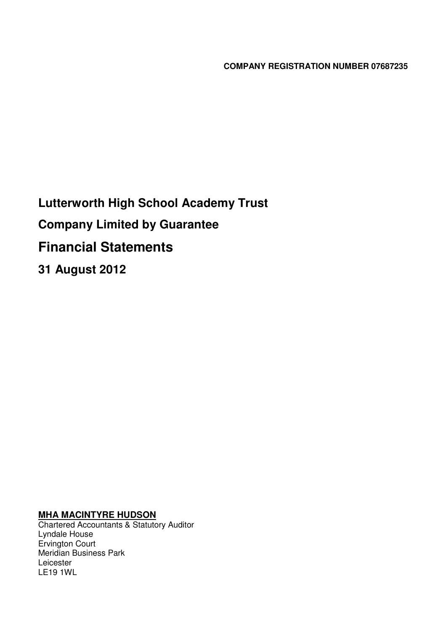**COMPANY REGISTRATION NUMBER 07687235**

**Lutterworth High School Academy Trust Company Limited by Guarantee Financial Statements 31 August 2012**

## **MHA MACINTYRE HUDSON**

Chartered Accountants & Statutory Auditor Lyndale House Ervington Court Meridian Business Park Leicester LE19 1WL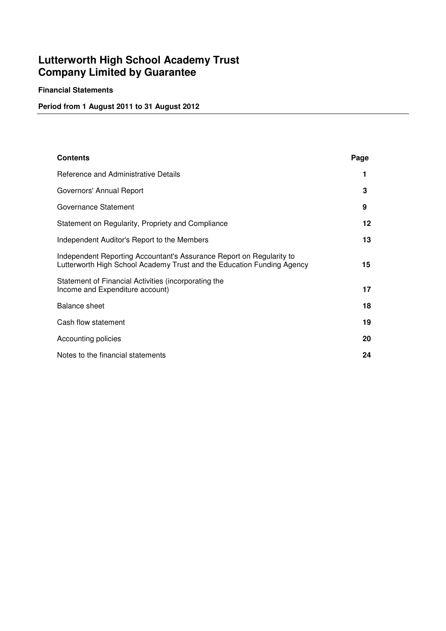## **Financial Statements**

## **Period from 1 August 2011 to 31 August 2012**

| <b>Contents</b>                                                                                                                                | Page |  |
|------------------------------------------------------------------------------------------------------------------------------------------------|------|--|
| Reference and Administrative Details                                                                                                           | 1    |  |
| Governors' Annual Report                                                                                                                       | 3    |  |
| Governance Statement                                                                                                                           | 9    |  |
| Statement on Regularity, Propriety and Compliance                                                                                              | 12   |  |
| Independent Auditor's Report to the Members                                                                                                    | 13   |  |
| Independent Reporting Accountant's Assurance Report on Regularity to<br>Lutterworth High School Academy Trust and the Education Funding Agency | 15   |  |
| Statement of Financial Activities (incorporating the<br>Income and Expenditure account)                                                        | 17   |  |
| <b>Balance sheet</b>                                                                                                                           | 18   |  |
| Cash flow statement                                                                                                                            | 19   |  |
| Accounting policies                                                                                                                            | 20   |  |
| Notes to the financial statements                                                                                                              | 24   |  |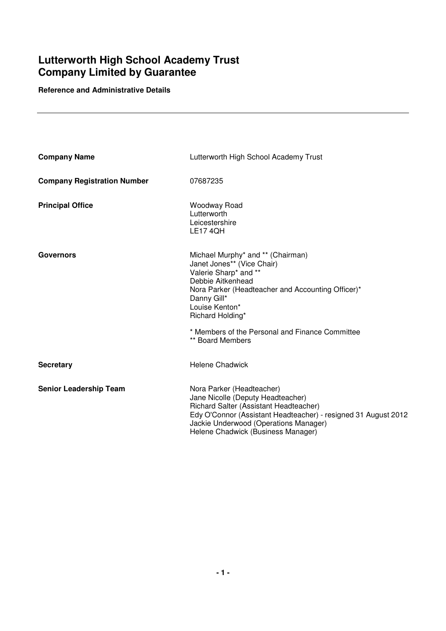## **Reference and Administrative Details**

| <b>Company Name</b>                | Lutterworth High School Academy Trust                                                                                                                                                                                                                     |
|------------------------------------|-----------------------------------------------------------------------------------------------------------------------------------------------------------------------------------------------------------------------------------------------------------|
| <b>Company Registration Number</b> | 07687235                                                                                                                                                                                                                                                  |
| <b>Principal Office</b>            | Woodway Road<br>Lutterworth<br>Leicestershire<br><b>LE17 4QH</b>                                                                                                                                                                                          |
| <b>Governors</b>                   | Michael Murphy* and ** (Chairman)<br>Janet Jones** (Vice Chair)<br>Valerie Sharp* and **<br>Debbie Aitkenhead<br>Nora Parker (Headteacher and Accounting Officer)*<br>Danny Gill*<br>Louise Kenton*<br>Richard Holding*                                   |
|                                    | * Members of the Personal and Finance Committee<br>** Board Members                                                                                                                                                                                       |
| <b>Secretary</b>                   | <b>Helene Chadwick</b>                                                                                                                                                                                                                                    |
| <b>Senior Leadership Team</b>      | Nora Parker (Headteacher)<br>Jane Nicolle (Deputy Headteacher)<br>Richard Salter (Assistant Headteacher)<br>Edy O'Connor (Assistant Headteacher) - resigned 31 August 2012<br>Jackie Underwood (Operations Manager)<br>Helene Chadwick (Business Manager) |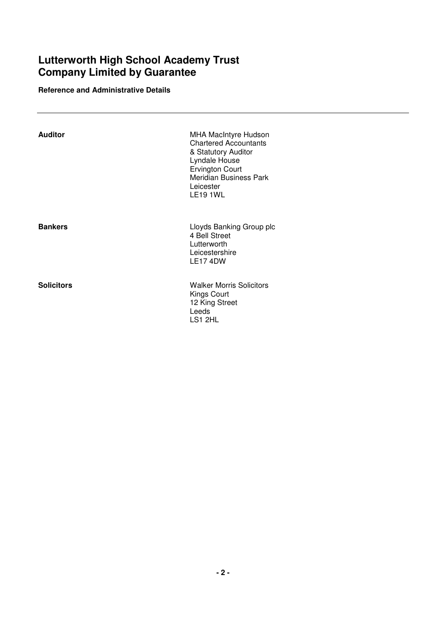**Reference and Administrative Details**

| Auditor           | <b>MHA MacIntyre Hudson</b><br><b>Chartered Accountants</b><br>& Statutory Auditor<br>Lyndale House<br><b>Ervington Court</b><br>Meridian Business Park<br>Leicester<br><b>LE19 1WL</b> |  |
|-------------------|-----------------------------------------------------------------------------------------------------------------------------------------------------------------------------------------|--|
| <b>Bankers</b>    | Lloyds Banking Group plc<br>4 Bell Street<br>Lutterworth<br>Leicestershire<br>LE174DW                                                                                                   |  |
| <b>Solicitors</b> | <b>Walker Morris Solicitors</b><br><b>Kings Court</b><br>12 King Street<br>Leeds<br>LS1 2HL                                                                                             |  |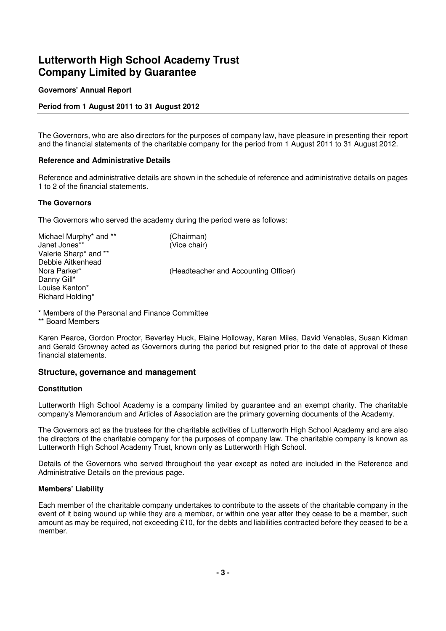## **Governors' Annual Report**

## **Period from 1 August 2011 to 31 August 2012**

The Governors, who are also directors for the purposes of company law, have pleasure in presenting their report and the financial statements of the charitable company for the period from 1 August 2011 to 31 August 2012.

### **Reference and Administrative Details**

Reference and administrative details are shown in the schedule of reference and administrative details on pages 1 to 2 of the financial statements.

#### **The Governors**

The Governors who served the academy during the period were as follows:

Michael Murphy<sup>\*</sup> and <sup>\*\*</sup> (Chairman) Janet Jones\*\* (Vice chair) Valerie Sharp\* and \*\* Debbie Aitkenhead Nora Parker\* (Headteacher and Accounting Officer) Danny Gill\* Louise Kenton\* Richard Holding\*

\* Members of the Personal and Finance Committee \*\* Board Members

Karen Pearce, Gordon Proctor, Beverley Huck, Elaine Holloway, Karen Miles, David Venables, Susan Kidman and Gerald Growney acted as Governors during the period but resigned prior to the date of approval of these financial statements.

## **Structure, governance and management**

#### **Constitution**

Lutterworth High School Academy is a company limited by guarantee and an exempt charity. The charitable company's Memorandum and Articles of Association are the primary governing documents of the Academy.

The Governors act as the trustees for the charitable activities of Lutterworth High School Academy and are also the directors of the charitable company for the purposes of company law. The charitable company is known as Lutterworth High School Academy Trust, known only as Lutterworth High School.

Details of the Governors who served throughout the year except as noted are included in the Reference and Administrative Details on the previous page.

## **Members' Liability**

Each member of the charitable company undertakes to contribute to the assets of the charitable company in the event of it being wound up while they are a member, or within one year after they cease to be a member, such amount as may be required, not exceeding £10, for the debts and liabilities contracted before they ceased to be a member.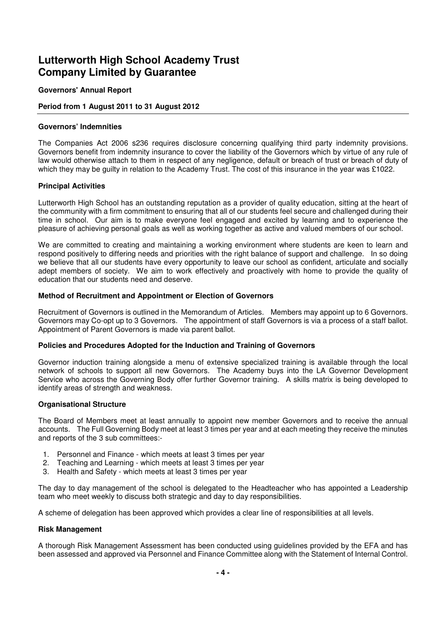## **Governors' Annual Report**

## **Period from 1 August 2011 to 31 August 2012**

### **Governors' Indemnities**

The Companies Act 2006 s236 requires disclosure concerning qualifying third party indemnity provisions. Governors benefit from indemnity insurance to cover the liability of the Governors which by virtue of any rule of law would otherwise attach to them in respect of any negligence, default or breach of trust or breach of duty of which they may be guilty in relation to the Academy Trust. The cost of this insurance in the year was £1022.

#### **Principal Activities**

Lutterworth High School has an outstanding reputation as a provider of quality education, sitting at the heart of the community with a firm commitment to ensuring that all of our students feel secure and challenged during their time in school. Our aim is to make everyone feel engaged and excited by learning and to experience the pleasure of achieving personal goals as well as working together as active and valued members of our school.

We are committed to creating and maintaining a working environment where students are keen to learn and respond positively to differing needs and priorities with the right balance of support and challenge. In so doing we believe that all our students have every opportunity to leave our school as confident, articulate and socially adept members of society. We aim to work effectively and proactively with home to provide the quality of education that our students need and deserve.

#### **Method of Recruitment and Appointment or Election of Governors**

Recruitment of Governors is outlined in the Memorandum of Articles. Members may appoint up to 6 Governors. Governors may Co-opt up to 3 Governors. The appointment of staff Governors is via a process of a staff ballot. Appointment of Parent Governors is made via parent ballot.

## **Policies and Procedures Adopted for the Induction and Training of Governors**

Governor induction training alongside a menu of extensive specialized training is available through the local network of schools to support all new Governors. The Academy buys into the LA Governor Development Service who across the Governing Body offer further Governor training. A skills matrix is being developed to identify areas of strength and weakness.

#### **Organisational Structure**

The Board of Members meet at least annually to appoint new member Governors and to receive the annual accounts. The Full Governing Body meet at least 3 times per year and at each meeting they receive the minutes and reports of the 3 sub committees:-

- 1. Personnel and Finance which meets at least 3 times per year
- 2. Teaching and Learning which meets at least 3 times per vear
- 3. Health and Safety which meets at least 3 times per year

The day to day management of the school is delegated to the Headteacher who has appointed a Leadership team who meet weekly to discuss both strategic and day to day responsibilities.

A scheme of delegation has been approved which provides a clear line of responsibilities at all levels.

## **Risk Management**

A thorough Risk Management Assessment has been conducted using guidelines provided by the EFA and has been assessed and approved via Personnel and Finance Committee along with the Statement of Internal Control.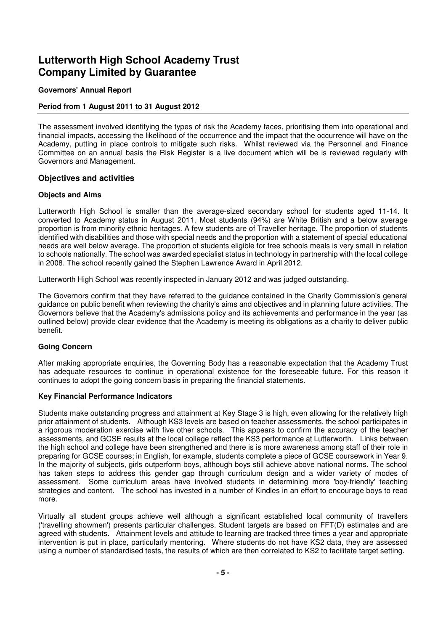## **Governors' Annual Report**

### **Period from 1 August 2011 to 31 August 2012**

The assessment involved identifying the types of risk the Academy faces, prioritising them into operational and financial impacts, accessing the likelihood of the occurrence and the impact that the occurrence will have on the Academy, putting in place controls to mitigate such risks. Whilst reviewed via the Personnel and Finance Committee on an annual basis the Risk Register is a live document which will be is reviewed regularly with Governors and Management.

#### **Objectives and activities**

#### **Objects and Aims**

Lutterworth High School is smaller than the average-sized secondary school for students aged 11-14. It converted to Academy status in August 2011. Most students (94%) are White British and a below average proportion is from minority ethnic heritages. A few students are of Traveller heritage. The proportion of students identified with disabilities and those with special needs and the proportion with a statement of special educational needs are well below average. The proportion of students eligible for free schools meals is very small in relation to schools nationally. The school was awarded specialist status in technology in partnership with the local college in 2008. The school recently gained the Stephen Lawrence Award in April 2012.

Lutterworth High School was recently inspected in January 2012 and was judged outstanding.

The Governors confirm that they have referred to the guidance contained in the Charity Commission's general guidance on public benefit when reviewing the charity's aims and objectives and in planning future activities. The Governors believe that the Academy's admissions policy and its achievements and performance in the year (as outlined below) provide clear evidence that the Academy is meeting its obligations as a charity to deliver public benefit.

#### **Going Concern**

After making appropriate enquiries, the Governing Body has a reasonable expectation that the Academy Trust has adequate resources to continue in operational existence for the foreseeable future. For this reason it continues to adopt the going concern basis in preparing the financial statements.

#### **Key Financial Performance Indicators**

Students make outstanding progress and attainment at Key Stage 3 is high, even allowing for the relatively high prior attainment of students. Although KS3 levels are based on teacher assessments, the school participates in a rigorous moderation exercise with five other schools. This appears to confirm the accuracy of the teacher assessments, and GCSE results at the local college reflect the KS3 performance at Lutterworth. Links between the high school and college have been strengthened and there is is more awareness among staff of their role in preparing for GCSE courses; in English, for example, students complete a piece of GCSE coursework in Year 9. In the majority of subjects, girls outperform boys, although boys still achieve above national norms. The school has taken steps to address this gender gap through curriculum design and a wider variety of modes of assessment. Some curriculum areas have involved students in determining more 'boy-friendly' teaching strategies and content. The school has invested in a number of Kindles in an effort to encourage boys to read more.

Virtually all student groups achieve well although a significant established local community of travellers ('travelling showmen') presents particular challenges. Student targets are based on FFT(D) estimates and are agreed with students. Attainment levels and attitude to learning are tracked three times a year and appropriate intervention is put in place, particularly mentoring. Where students do not have KS2 data, they are assessed using a number of standardised tests, the results of which are then correlated to KS2 to facilitate target setting.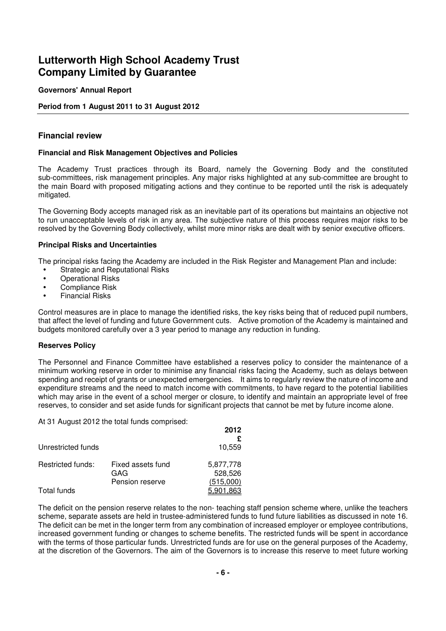## **Governors' Annual Report**

## **Period from 1 August 2011 to 31 August 2012**

## **Financial review**

### **Financial and Risk Management Objectives and Policies**

The Academy Trust practices through its Board, namely the Governing Body and the constituted sub-committees, risk management principles. Any major risks highlighted at any sub-committee are brought to the main Board with proposed mitigating actions and they continue to be reported until the risk is adequately mitigated.

The Governing Body accepts managed risk as an inevitable part of its operations but maintains an objective not to run unacceptable levels of risk in any area. The subjective nature of this process requires major risks to be resolved by the Governing Body collectively, whilst more minor risks are dealt with by senior executive officers.

#### **Principal Risks and Uncertainties**

The principal risks facing the Academy are included in the Risk Register and Management Plan and include:

- Strategic and Reputational Risks
- Operational Risks
- Compliance Risk
- Financial Risks

Control measures are in place to manage the identified risks, the key risks being that of reduced pupil numbers, that affect the level of funding and future Government cuts. Active promotion of the Academy is maintained and budgets monitored carefully over a 3 year period to manage any reduction in funding.

## **Reserves Policy**

The Personnel and Finance Committee have established a reserves policy to consider the maintenance of a minimum working reserve in order to minimise any financial risks facing the Academy, such as delays between spending and receipt of grants or unexpected emergencies. It aims to regularly review the nature of income and expenditure streams and the need to match income with commitments, to have regard to the potential liabilities which may arise in the event of a school merger or closure, to identify and maintain an appropriate level of free reserves, to consider and set aside funds for significant projects that cannot be met by future income alone.

At 31 August 2012 the total funds comprised:

|                    |                          | 2012                 |
|--------------------|--------------------------|----------------------|
| Unrestricted funds |                          | 10,559               |
| Restricted funds:  | Fixed assets fund<br>GAG | 5,877,778<br>528,526 |
|                    | Pension reserve          | (515,000)            |
| Total funds        |                          | 5.901.863            |

The deficit on the pension reserve relates to the non- teaching staff pension scheme where, unlike the teachers scheme, separate assets are held in trustee-administered funds to fund future liabilities as discussed in note 16. The deficit can be met in the longer term from any combination of increased employer or employee contributions, increased government funding or changes to scheme benefits. The restricted funds will be spent in accordance with the terms of those particular funds. Unrestricted funds are for use on the general purposes of the Academy, at the discretion of the Governors. The aim of the Governors is to increase this reserve to meet future working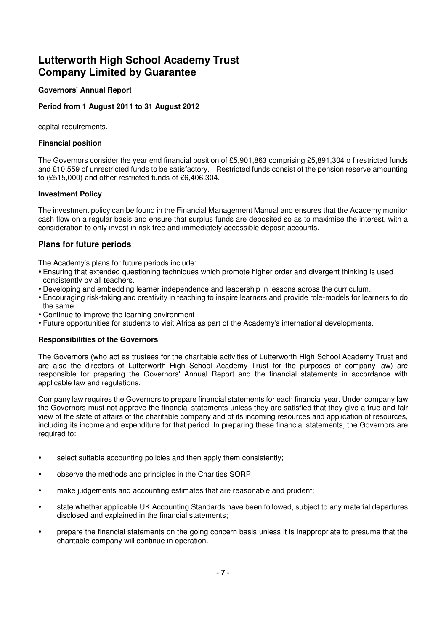## **Governors' Annual Report**

## **Period from 1 August 2011 to 31 August 2012**

capital requirements.

### **Financial position**

The Governors consider the year end financial position of £5,901,863 comprising £5,891,304 o f restricted funds and £10,559 of unrestricted funds to be satisfactory. Restricted funds consist of the pension reserve amounting to (£515,000) and other restricted funds of £6,406,304.

#### **Investment Policy**

The investment policy can be found in the Financial Management Manual and ensures that the Academy monitor cash flow on a regular basis and ensure that surplus funds are deposited so as to maximise the interest, with a consideration to only invest in risk free and immediately accessible deposit accounts.

## **Plans for future periods**

The Academy's plans for future periods include:

- Ensuring that extended questioning techniques which promote higher order and divergent thinking is used consistently by all teachers.
- Developing and embedding learner independence and leadership in lessons across the curriculum.
- Encouraging risk-taking and creativity in teaching to inspire learners and provide role-models for learners to do the same.
- Continue to improve the learning environment
- Future opportunities for students to visit Africa as part of the Academy's international developments.

## **Responsibilities of the Governors**

The Governors (who act as trustees for the charitable activities of Lutterworth High School Academy Trust and are also the directors of Lutterworth High School Academy Trust for the purposes of company law) are responsible for preparing the Governors' Annual Report and the financial statements in accordance with applicable law and regulations.

Company law requires the Governors to prepare financial statements for each financial year. Under company law the Governors must not approve the financial statements unless they are satisfied that they give a true and fair view of the state of affairs of the charitable company and of its incoming resources and application of resources, including its income and expenditure for that period. In preparing these financial statements, the Governors are required to:

- select suitable accounting policies and then apply them consistently:
- observe the methods and principles in the Charities SORP;
- make judgements and accounting estimates that are reasonable and prudent;
- state whether applicable UK Accounting Standards have been followed, subject to any material departures disclosed and explained in the financial statements;
- prepare the financial statements on the going concern basis unless it is inappropriate to presume that the charitable company will continue in operation.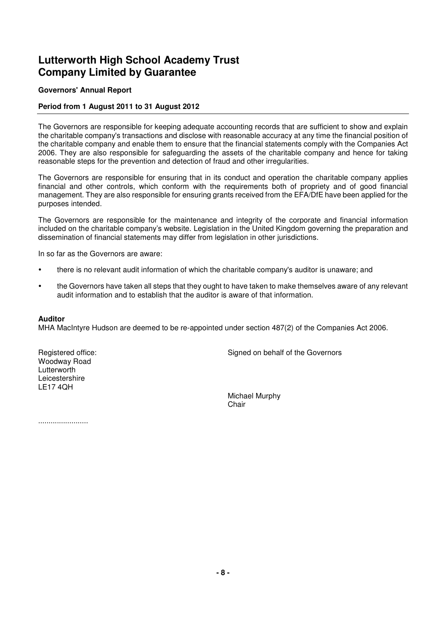## **Governors' Annual Report**

## **Period from 1 August 2011 to 31 August 2012**

The Governors are responsible for keeping adequate accounting records that are sufficient to show and explain the charitable company's transactions and disclose with reasonable accuracy at any time the financial position of the charitable company and enable them to ensure that the financial statements comply with the Companies Act 2006. They are also responsible for safeguarding the assets of the charitable company and hence for taking reasonable steps for the prevention and detection of fraud and other irregularities.

The Governors are responsible for ensuring that in its conduct and operation the charitable company applies financial and other controls, which conform with the requirements both of propriety and of good financial management. They are also responsible for ensuring grants received from the EFA/DfE have been applied for the purposes intended.

The Governors are responsible for the maintenance and integrity of the corporate and financial information included on the charitable company's website. Legislation in the United Kingdom governing the preparation and dissemination of financial statements may differ from legislation in other jurisdictions.

In so far as the Governors are aware:

- there is no relevant audit information of which the charitable company's auditor is unaware; and
- the Governors have taken all steps that they ought to have taken to make themselves aware of any relevant audit information and to establish that the auditor is aware of that information.

#### **Auditor**

MHA MacIntyre Hudson are deemed to be re-appointed under section 487(2) of the Companies Act 2006.

Woodway Road Lutterworth Leicestershire LE17 4QH

Registered office: Signed on behalf of the Governors

Michael Murphy **Chair** 

........................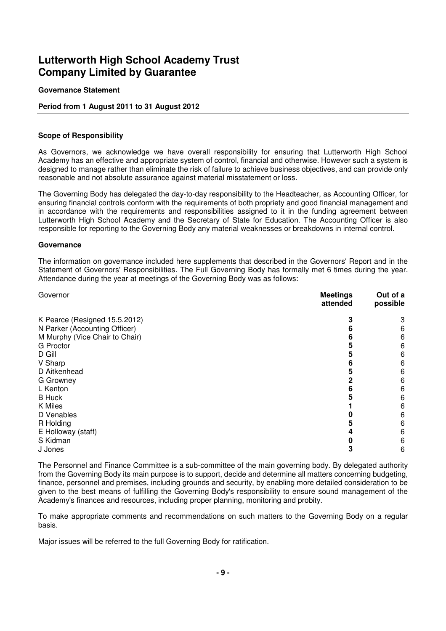#### **Governance Statement**

## **Period from 1 August 2011 to 31 August 2012**

#### **Scope of Responsibility**

As Governors, we acknowledge we have overall responsibility for ensuring that Lutterworth High School Academy has an effective and appropriate system of control, financial and otherwise. However such a system is designed to manage rather than eliminate the risk of failure to achieve business objectives, and can provide only reasonable and not absolute assurance against material misstatement or loss.

The Governing Body has delegated the day-to-day responsibility to the Headteacher, as Accounting Officer, for ensuring financial controls conform with the requirements of both propriety and good financial management and in accordance with the requirements and responsibilities assigned to it in the funding agreement between Lutterworth High School Academy and the Secretary of State for Education. The Accounting Officer is also responsible for reporting to the Governing Body any material weaknesses or breakdowns in internal control.

#### **Governance**

The information on governance included here supplements that described in the Governors' Report and in the Statement of Governors' Responsibilities. The Full Governing Body has formally met 6 times during the year. Attendance during the year at meetings of the Governing Body was as follows:

| Governor                       | <b>Meetings</b><br>attended | Out of a<br>possible |
|--------------------------------|-----------------------------|----------------------|
| K Pearce (Resigned 15.5.2012)  |                             | 3                    |
| N Parker (Accounting Officer)  |                             | 6                    |
| M Murphy (Vice Chair to Chair) |                             | 6                    |
| <b>G</b> Proctor               |                             | 6                    |
| D Gill                         |                             | 6                    |
| V Sharp                        |                             | 6                    |
| D Aitkenhead                   |                             | 6                    |
| G Growney                      |                             | 6                    |
| L Kenton                       |                             | 6                    |
| <b>B</b> Huck                  |                             | 6                    |
| K Miles                        |                             | 6                    |
| D Venables                     |                             | 6                    |
| R Holding                      |                             | 6                    |
| E Holloway (staff)             |                             | 6                    |
| S Kidman                       |                             | 6                    |
| J Jones                        | 3                           | 6                    |

The Personnel and Finance Committee is a sub-committee of the main governing body. By delegated authority from the Governing Body its main purpose is to support, decide and determine all matters concerning budgeting, finance, personnel and premises, including grounds and security, by enabling more detailed consideration to be given to the best means of fulfilling the Governing Body's responsibility to ensure sound management of the Academy's finances and resources, including proper planning, monitoring and probity.

To make appropriate comments and recommendations on such matters to the Governing Body on a regular basis.

Major issues will be referred to the full Governing Body for ratification.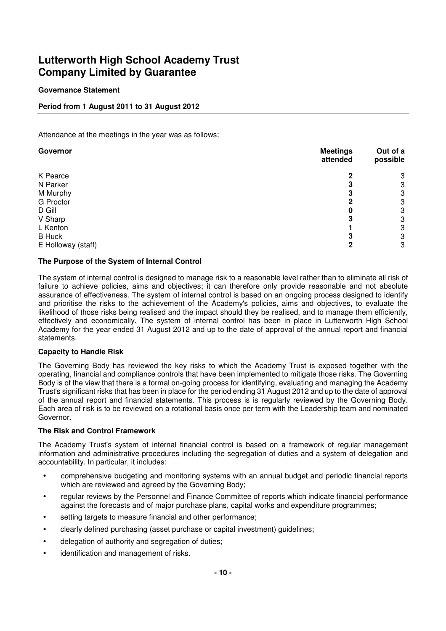## **Governance Statement**

## **Period from 1 August 2011 to 31 August 2012**

Attendance at the meetings in the year was as follows:

| Governor           | <b>Meetings</b><br>attended | Out of a<br>possible |
|--------------------|-----------------------------|----------------------|
| K Pearce           | 2                           | 3                    |
| N Parker           | m                           | 3                    |
| M Murphy           |                             | 3                    |
| <b>G</b> Proctor   |                             | 3                    |
| D Gill             | 0                           | 3                    |
| V Sharp            |                             | 3                    |
| L Kenton           |                             | 3                    |
| <b>B</b> Huck      | 3                           | 3                    |
| E Holloway (staff) | 2                           | 3                    |

## **The Purpose of the System of Internal Control**

The system of internal control is designed to manage risk to a reasonable level rather than to eliminate all risk of failure to achieve policies, aims and objectives; it can therefore only provide reasonable and not absolute assurance of effectiveness. The system of internal control is based on an ongoing process designed to identify and prioritise the risks to the achievement of the Academy's policies, aims and objectives, to evaluate the likelihood of those risks being realised and the impact should they be realised, and to manage them efficiently, effectively and economically. The system of internal control has been in place in Lutterworth High School Academy for the year ended 31 August 2012 and up to the date of approval of the annual report and financial statements.

## **Capacity to Handle Risk**

The Governing Body has reviewed the key risks to which the Academy Trust is exposed together with the operating, financial and compliance controls that have been implemented to mitigate those risks. The Governing Body is of the view that there is a formal on-going process for identifying, evaluating and managing the Academy Trust's significant risks that has been in place for the period ending 31 August 2012 and up to the date of approval of the annual report and financial statements. This process is is regularly reviewed by the Governing Body. Each area of risk is to be reviewed on a rotational basis once per term with the Leadership team and nominated Governor.

## **The Risk and Control Framework**

The Academy Trust's system of internal financial control is based on a framework of regular management information and administrative procedures including the segregation of duties and a system of delegation and accountability. In particular, it includes:

- comprehensive budgeting and monitoring systems with an annual budget and periodic financial reports which are reviewed and agreed by the Governing Body;
- regular reviews by the Personnel and Finance Committee of reports which indicate financial performance against the forecasts and of major purchase plans, capital works and expenditure programmes;
- setting targets to measure financial and other performance;
- clearly defined purchasing (asset purchase or capital investment) guidelines;
- delegation of authority and segregation of duties;
- identification and management of risks.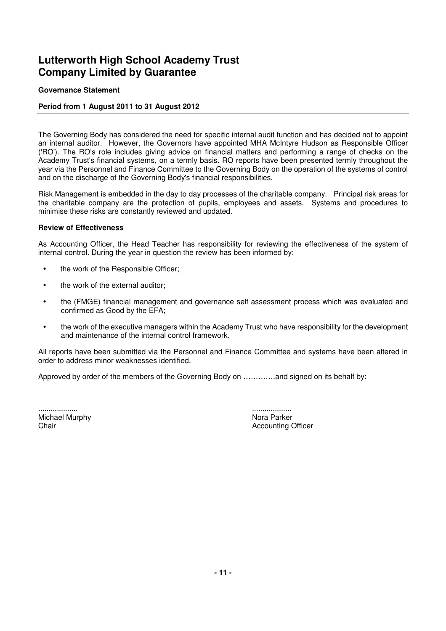## **Governance Statement**

## **Period from 1 August 2011 to 31 August 2012**

The Governing Body has considered the need for specific internal audit function and has decided not to appoint an internal auditor. However, the Governors have appointed MHA McIntyre Hudson as Responsible Officer ('RO'). The RO's role includes giving advice on financial matters and performing a range of checks on the Academy Trust's financial systems, on a termly basis. RO reports have been presented termly throughout the year via the Personnel and Finance Committee to the Governing Body on the operation of the systems of control and on the discharge of the Governing Body's financial responsibilities.

Risk Management is embedded in the day to day processes of the charitable company. Principal risk areas for the charitable company are the protection of pupils, employees and assets. Systems and procedures to minimise these risks are constantly reviewed and updated.

#### **Review of Effectiveness**

As Accounting Officer, the Head Teacher has responsibility for reviewing the effectiveness of the system of internal control. During the year in question the review has been informed by:

- the work of the Responsible Officer;
- the work of the external auditor;
- the (FMGE) financial management and governance self assessment process which was evaluated and confirmed as Good by the EFA;
- the work of the executive managers within the Academy Trust who have responsibility for the development and maintenance of the internal control framework.

All reports have been submitted via the Personnel and Finance Committee and systems have been altered in order to address minor weaknesses identified.

Approved by order of the members of the Governing Body on ………….and signed on its behalf by:

................... ................... Michael Murphy Nora Parker

Chair **Chair Chair Chair Chair Chair Chair Chair Chair Chair Chair Chair Chair Chair Chair Chair Chair Chair Chair Chair Chair Chair Chair Chair Chair Chair Chair Chair**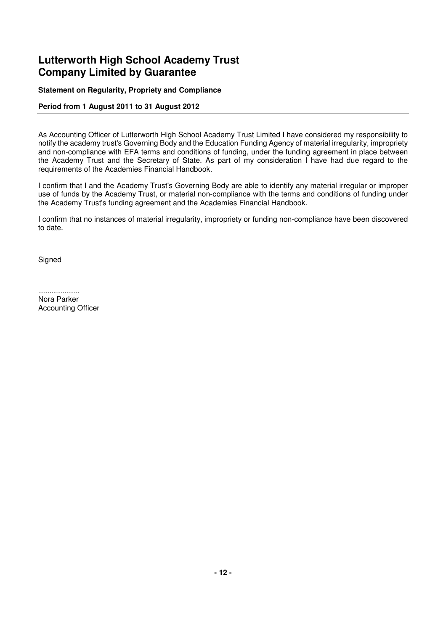## **Statement on Regularity, Propriety and Compliance**

## **Period from 1 August 2011 to 31 August 2012**

As Accounting Officer of Lutterworth High School Academy Trust Limited I have considered my responsibility to notify the academy trust's Governing Body and the Education Funding Agency of material irregularity, impropriety and non-compliance with EFA terms and conditions of funding, under the funding agreement in place between the Academy Trust and the Secretary of State. As part of my consideration I have had due regard to the requirements of the Academies Financial Handbook.

I confirm that I and the Academy Trust's Governing Body are able to identify any material irregular or improper use of funds by the Academy Trust, or material non-compliance with the terms and conditions of funding under the Academy Trust's funding agreement and the Academies Financial Handbook.

I confirm that no instances of material irregularity, impropriety or funding non-compliance have been discovered to date.

**Signed** 

...................... Nora Parker Accounting Officer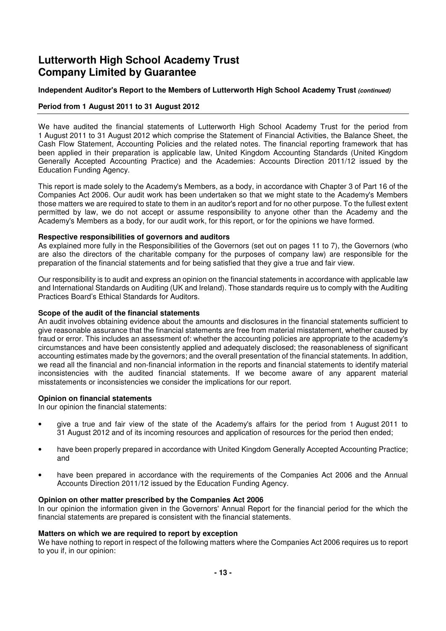## **Independent Auditor's Report to the Members of Lutterworth High School Academy Trust (continued)**

## **Period from 1 August 2011 to 31 August 2012**

We have audited the financial statements of Lutterworth High School Academy Trust for the period from 1 August 2011 to 31 August 2012 which comprise the Statement of Financial Activities, the Balance Sheet, the Cash Flow Statement, Accounting Policies and the related notes. The financial reporting framework that has been applied in their preparation is applicable law, United Kingdom Accounting Standards (United Kingdom Generally Accepted Accounting Practice) and the Academies: Accounts Direction 2011/12 issued by the Education Funding Agency.

This report is made solely to the Academy's Members, as a body, in accordance with Chapter 3 of Part 16 of the Companies Act 2006. Our audit work has been undertaken so that we might state to the Academy's Members those matters we are required to state to them in an auditor's report and for no other purpose. To the fullest extent permitted by law, we do not accept or assume responsibility to anyone other than the Academy and the Academy's Members as a body, for our audit work, for this report, or for the opinions we have formed.

#### **Respective responsibilities of governors and auditors**

As explained more fully in the Responsibilities of the Governors (set out on pages 11 to 7), the Governors (who are also the directors of the charitable company for the purposes of company law) are responsible for the preparation of the financial statements and for being satisfied that they give a true and fair view.

Our responsibility is to audit and express an opinion on the financial statements in accordance with applicable law and International Standards on Auditing (UK and Ireland). Those standards require us to comply with the Auditing Practices Board's Ethical Standards for Auditors.

#### **Scope of the audit of the financial statements**

An audit involves obtaining evidence about the amounts and disclosures in the financial statements sufficient to give reasonable assurance that the financial statements are free from material misstatement, whether caused by fraud or error. This includes an assessment of: whether the accounting policies are appropriate to the academy's circumstances and have been consistently applied and adequately disclosed; the reasonableness of significant accounting estimates made by the governors; and the overall presentation of the financial statements. In addition, we read all the financial and non-financial information in the reports and financial statements to identify material inconsistencies with the audited financial statements. If we become aware of any apparent material misstatements or inconsistencies we consider the implications for our report.

#### **Opinion on financial statements**

In our opinion the financial statements:

- give a true and fair view of the state of the Academy's affairs for the period from 1 August 2011 to 31 August 2012 and of its incoming resources and application of resources for the period then ended;
- have been properly prepared in accordance with United Kingdom Generally Accepted Accounting Practice; and
- have been prepared in accordance with the requirements of the Companies Act 2006 and the Annual Accounts Direction 2011/12 issued by the Education Funding Agency.

#### **Opinion on other matter prescribed by the Companies Act 2006**

In our opinion the information given in the Governors' Annual Report for the financial period for the which the financial statements are prepared is consistent with the financial statements.

#### **Matters on which we are required to report by exception**

We have nothing to report in respect of the following matters where the Companies Act 2006 requires us to report to you if, in our opinion: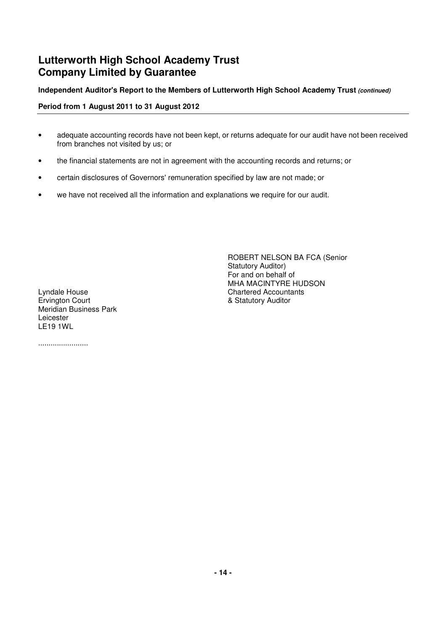## **Independent Auditor's Report to the Members of Lutterworth High School Academy Trust (continued)**

**Period from 1 August 2011 to 31 August 2012**

- adequate accounting records have not been kept, or returns adequate for our audit have not been received from branches not visited by us; or
- the financial statements are not in agreement with the accounting records and returns; or
- certain disclosures of Governors' remuneration specified by law are not made; or
- we have not received all the information and explanations we require for our audit.

Lyndale House Chartered Accountants Ervington Court **Example 2018** Statutory Auditor Meridian Business Park Leicester LE19 1WL

........................

ROBERT NELSON BA FCA (Senior Statutory Auditor) For and on behalf of MHA MACINTYRE HUDSON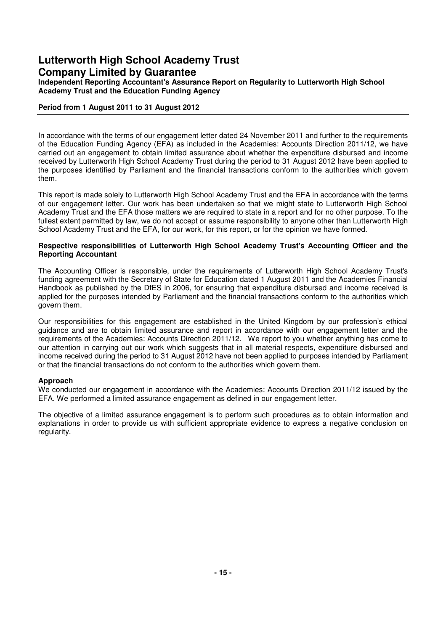**Independent Reporting Accountant's Assurance Report on Regularity to Lutterworth High School Academy Trust and the Education Funding Agency**

## **Period from 1 August 2011 to 31 August 2012**

In accordance with the terms of our engagement letter dated 24 November 2011 and further to the requirements of the Education Funding Agency (EFA) as included in the Academies: Accounts Direction 2011/12, we have carried out an engagement to obtain limited assurance about whether the expenditure disbursed and income received by Lutterworth High School Academy Trust during the period to 31 August 2012 have been applied to the purposes identified by Parliament and the financial transactions conform to the authorities which govern them.

This report is made solely to Lutterworth High School Academy Trust and the EFA in accordance with the terms of our engagement letter. Our work has been undertaken so that we might state to Lutterworth High School Academy Trust and the EFA those matters we are required to state in a report and for no other purpose. To the fullest extent permitted by law, we do not accept or assume responsibility to anyone other than Lutterworth High School Academy Trust and the EFA, for our work, for this report, or for the opinion we have formed.

#### **Respective responsibilities of Lutterworth High School Academy Trust's Accounting Officer and the Reporting Accountant**

The Accounting Officer is responsible, under the requirements of Lutterworth High School Academy Trust's funding agreement with the Secretary of State for Education dated 1 August 2011 and the Academies Financial Handbook as published by the DfES in 2006, for ensuring that expenditure disbursed and income received is applied for the purposes intended by Parliament and the financial transactions conform to the authorities which govern them.

Our responsibilities for this engagement are established in the United Kingdom by our profession's ethical guidance and are to obtain limited assurance and report in accordance with our engagement letter and the requirements of the Academies: Accounts Direction 2011/12. We report to you whether anything has come to our attention in carrying out our work which suggests that in all material respects, expenditure disbursed and income received during the period to 31 August 2012 have not been applied to purposes intended by Parliament or that the financial transactions do not conform to the authorities which govern them.

## **Approach**

We conducted our engagement in accordance with the Academies: Accounts Direction 2011/12 issued by the EFA. We performed a limited assurance engagement as defined in our engagement letter.

The objective of a limited assurance engagement is to perform such procedures as to obtain information and explanations in order to provide us with sufficient appropriate evidence to express a negative conclusion on regularity.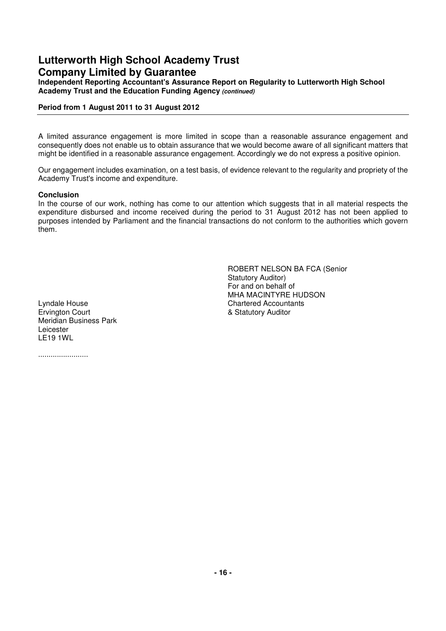**Independent Reporting Accountant's Assurance Report on Regularity to Lutterworth High School Academy Trust and the Education Funding Agency (continued)**

## **Period from 1 August 2011 to 31 August 2012**

A limited assurance engagement is more limited in scope than a reasonable assurance engagement and consequently does not enable us to obtain assurance that we would become aware of all significant matters that might be identified in a reasonable assurance engagement. Accordingly we do not express a positive opinion.

Our engagement includes examination, on a test basis, of evidence relevant to the regularity and propriety of the Academy Trust's income and expenditure.

## **Conclusion**

In the course of our work, nothing has come to our attention which suggests that in all material respects the expenditure disbursed and income received during the period to 31 August 2012 has not been applied to purposes intended by Parliament and the financial transactions do not conform to the authorities which govern them.

Lyndale House Chartered Accountants Ervington Court **Example 2018** 8 Statutory Auditor Meridian Business Park Leicester LE19 1WL

........................

ROBERT NELSON BA FCA (Senior Statutory Auditor) For and on behalf of MHA MACINTYRE HUDSON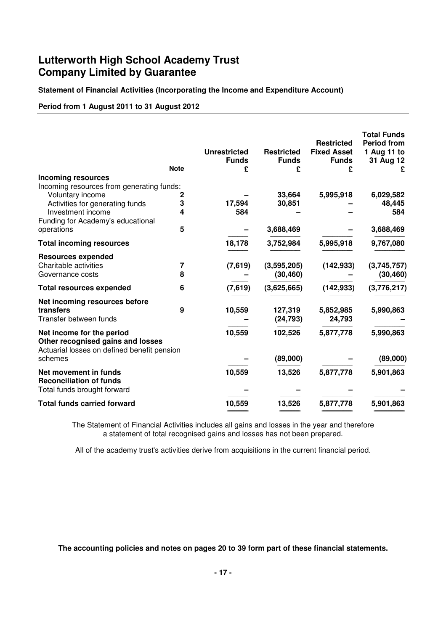**Statement of Financial Activities (Incorporating the Income and Expenditure Account)**

**Period from 1 August 2011 to 31 August 2012**

|                                                                                                               | <b>Note</b>    | <b>Unrestricted</b><br><b>Funds</b><br>£ | <b>Restricted</b><br><b>Funds</b><br>£ | <b>Restricted</b><br><b>Fixed Asset</b><br><b>Funds</b><br>£ | <b>Total Funds</b><br><b>Period from</b><br>1 Aug 11 to<br>31 Aug 12<br>£ |
|---------------------------------------------------------------------------------------------------------------|----------------|------------------------------------------|----------------------------------------|--------------------------------------------------------------|---------------------------------------------------------------------------|
| <b>Incoming resources</b>                                                                                     |                |                                          |                                        |                                                              |                                                                           |
| Incoming resources from generating funds:                                                                     |                |                                          |                                        |                                                              |                                                                           |
| Voluntary income                                                                                              | $\overline{c}$ | 17,594                                   | 33,664                                 | 5,995,918                                                    | 6,029,582                                                                 |
| Activities for generating funds<br>Investment income                                                          | 3<br>4         | 584                                      | 30,851                                 |                                                              | 48,445<br>584                                                             |
| Funding for Academy's educational                                                                             |                |                                          |                                        |                                                              |                                                                           |
| operations                                                                                                    | 5              |                                          | 3,688,469                              |                                                              | 3,688,469                                                                 |
| <b>Total incoming resources</b>                                                                               |                | 18,178                                   | 3,752,984                              | 5,995,918                                                    | 9,767,080                                                                 |
| <b>Resources expended</b>                                                                                     |                |                                          |                                        |                                                              |                                                                           |
| Charitable activities                                                                                         | 7              | (7,619)                                  | (3,595,205)                            | (142, 933)                                                   | (3,745,757)                                                               |
| Governance costs                                                                                              | 8              |                                          | (30, 460)                              |                                                              | (30, 460)                                                                 |
| <b>Total resources expended</b>                                                                               | 6              | (7,619)                                  | (3,625,665)                            | (142, 933)                                                   | (3,776,217)                                                               |
| Net incoming resources before                                                                                 |                |                                          |                                        |                                                              |                                                                           |
| transfers                                                                                                     | 9              | 10,559                                   | 127,319                                | 5,852,985                                                    | 5,990,863                                                                 |
| Transfer between funds                                                                                        |                |                                          | (24, 793)                              | 24,793                                                       |                                                                           |
| Net income for the period<br>Other recognised gains and losses<br>Actuarial losses on defined benefit pension |                | 10,559                                   | 102,526                                | 5,877,778                                                    | 5,990,863                                                                 |
| schemes                                                                                                       |                |                                          | (89,000)                               |                                                              | (89,000)                                                                  |
| Net movement in funds<br><b>Reconciliation of funds</b><br>Total funds brought forward                        |                | 10,559                                   | 13,526                                 | 5,877,778                                                    | 5,901,863                                                                 |
| <b>Total funds carried forward</b>                                                                            |                | 10,559                                   | 13,526                                 | 5,877,778                                                    | 5,901,863                                                                 |
|                                                                                                               |                |                                          |                                        |                                                              |                                                                           |

 The Statement of Financial Activities includes all gains and losses in the year and therefore a statement of total recognised gains and losses has not been prepared.

All of the academy trust's activities derive from acquisitions in the current financial period.

 **The accounting policies and notes on pages 20 to 39 form part of these financial statements.**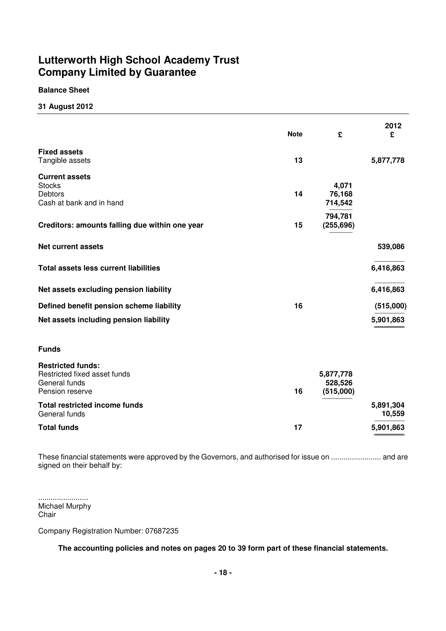## **Balance Sheet**

## **31 August 2012**

|                                                                                              | <b>Note</b> | £                                 | 2012<br>£           |
|----------------------------------------------------------------------------------------------|-------------|-----------------------------------|---------------------|
| <b>Fixed assets</b><br>Tangible assets                                                       | 13          |                                   | 5,877,778           |
| <b>Current assets</b><br><b>Stocks</b><br><b>Debtors</b><br>Cash at bank and in hand         | 14          | 4,071<br>76,168<br>714,542        |                     |
| Creditors: amounts falling due within one year                                               | 15          | 794,781<br>(255, 696)             |                     |
| <b>Net current assets</b>                                                                    |             |                                   | 539,086             |
| <b>Total assets less current liabilities</b>                                                 |             |                                   | 6,416,863           |
| Net assets excluding pension liability                                                       |             |                                   | 6,416,863           |
| Defined benefit pension scheme liability                                                     | 16          |                                   | (515,000)           |
| Net assets including pension liability                                                       |             |                                   | 5,901,863           |
| <b>Funds</b>                                                                                 |             |                                   |                     |
| <b>Restricted funds:</b><br>Restricted fixed asset funds<br>General funds<br>Pension reserve | 16          | 5,877,778<br>528,526<br>(515,000) |                     |
| <b>Total restricted income funds</b><br>General funds                                        |             |                                   | 5,891,304<br>10,559 |
| <b>Total funds</b>                                                                           | 17          |                                   | 5,901,863           |

These financial statements were approved by the Governors, and authorised for issue on ........................ and are signed on their behalf by:

........................ Michael Murphy Chair

Company Registration Number: 07687235

 **The accounting policies and notes on pages 20 to 39 form part of these financial statements.**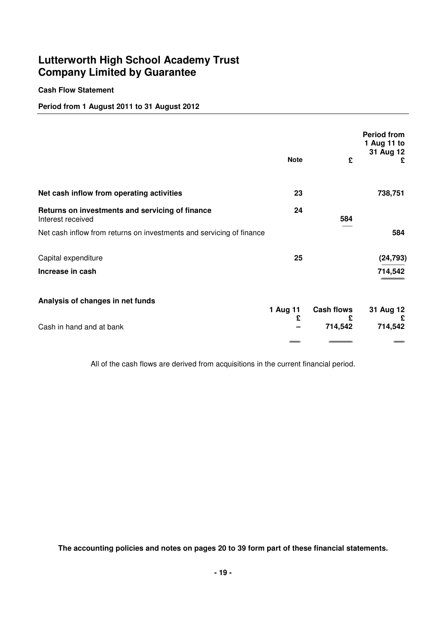## **Cash Flow Statement**

## **Period from 1 August 2011 to 31 August 2012**

|                                                                      | <b>Note</b> | £                 | <b>Period from</b><br>1 Aug 11 to<br>31 Aug 12<br>£ |
|----------------------------------------------------------------------|-------------|-------------------|-----------------------------------------------------|
| Net cash inflow from operating activities                            | 23          |                   | 738,751                                             |
| Returns on investments and servicing of finance<br>Interest received | 24          | 584               |                                                     |
| Net cash inflow from returns on investments and servicing of finance |             |                   | 584                                                 |
| Capital expenditure                                                  | 25          |                   | (24, 793)                                           |
| Increase in cash                                                     |             |                   | 714,542                                             |
| Analysis of changes in net funds                                     | 1 Aug 11    | <b>Cash flows</b> | 31 Aug 12                                           |
| Cash in hand and at bank                                             | £           | £<br>714,542      | £<br>714,542                                        |
|                                                                      |             |                   |                                                     |

All of the cash flows are derived from acquisitions in the current financial period.

 **The accounting policies and notes on pages 20 to 39 form part of these financial statements.**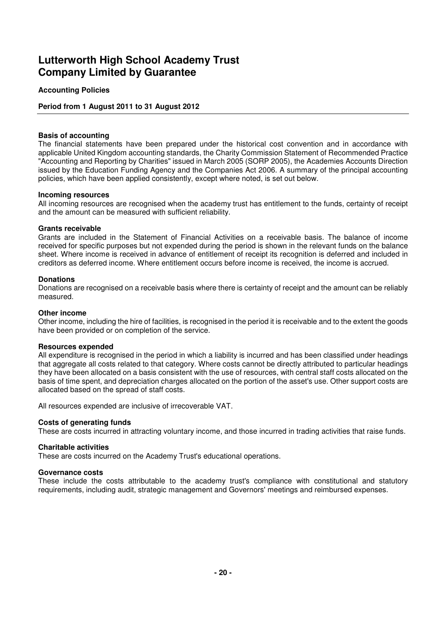## **Accounting Policies**

## **Period from 1 August 2011 to 31 August 2012**

#### **Basis of accounting**

The financial statements have been prepared under the historical cost convention and in accordance with applicable United Kingdom accounting standards, the Charity Commission Statement of Recommended Practice "Accounting and Reporting by Charities" issued in March 2005 (SORP 2005), the Academies Accounts Direction issued by the Education Funding Agency and the Companies Act 2006. A summary of the principal accounting policies, which have been applied consistently, except where noted, is set out below.

#### **Incoming resources**

All incoming resources are recognised when the academy trust has entitlement to the funds, certainty of receipt and the amount can be measured with sufficient reliability.

#### **Grants receivable**

Grants are included in the Statement of Financial Activities on a receivable basis. The balance of income received for specific purposes but not expended during the period is shown in the relevant funds on the balance sheet. Where income is received in advance of entitlement of receipt its recognition is deferred and included in creditors as deferred income. Where entitlement occurs before income is received, the income is accrued.

#### **Donations**

Donations are recognised on a receivable basis where there is certainty of receipt and the amount can be reliably measured.

#### **Other income**

Other income, including the hire of facilities, is recognised in the period it is receivable and to the extent the goods have been provided or on completion of the service.

#### **Resources expended**

All expenditure is recognised in the period in which a liability is incurred and has been classified under headings that aggregate all costs related to that category. Where costs cannot be directly attributed to particular headings they have been allocated on a basis consistent with the use of resources, with central staff costs allocated on the basis of time spent, and depreciation charges allocated on the portion of the asset's use. Other support costs are allocated based on the spread of staff costs.

All resources expended are inclusive of irrecoverable VAT.

## **Costs of generating funds**

These are costs incurred in attracting voluntary income, and those incurred in trading activities that raise funds.

#### **Charitable activities**

These are costs incurred on the Academy Trust's educational operations.

#### **Governance costs**

These include the costs attributable to the academy trust's compliance with constitutional and statutory requirements, including audit, strategic management and Governors' meetings and reimbursed expenses.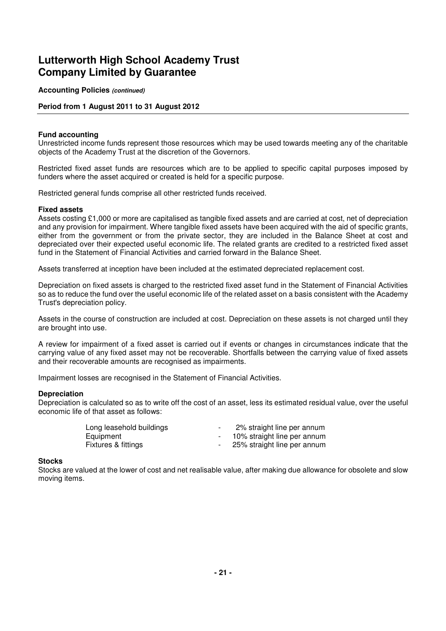**Accounting Policies (continued)**

## **Period from 1 August 2011 to 31 August 2012**

#### **Fund accounting**

Unrestricted income funds represent those resources which may be used towards meeting any of the charitable objects of the Academy Trust at the discretion of the Governors.

Restricted fixed asset funds are resources which are to be applied to specific capital purposes imposed by funders where the asset acquired or created is held for a specific purpose.

Restricted general funds comprise all other restricted funds received.

#### **Fixed assets**

Assets costing £1,000 or more are capitalised as tangible fixed assets and are carried at cost, net of depreciation and any provision for impairment. Where tangible fixed assets have been acquired with the aid of specific grants, either from the government or from the private sector, they are included in the Balance Sheet at cost and depreciated over their expected useful economic life. The related grants are credited to a restricted fixed asset fund in the Statement of Financial Activities and carried forward in the Balance Sheet.

Assets transferred at inception have been included at the estimated depreciated replacement cost.

Depreciation on fixed assets is charged to the restricted fixed asset fund in the Statement of Financial Activities so as to reduce the fund over the useful economic life of the related asset on a basis consistent with the Academy Trust's depreciation policy.

Assets in the course of construction are included at cost. Depreciation on these assets is not charged until they are brought into use.

A review for impairment of a fixed asset is carried out if events or changes in circumstances indicate that the carrying value of any fixed asset may not be recoverable. Shortfalls between the carrying value of fixed assets and their recoverable amounts are recognised as impairments.

Impairment losses are recognised in the Statement of Financial Activities.

#### **Depreciation**

Depreciation is calculated so as to write off the cost of an asset, less its estimated residual value, over the useful economic life of that asset as follows:

| Long leasehold buildings | 2% straight line per annum    |
|--------------------------|-------------------------------|
| Equipment                | - 10% straight line per annum |
| Fixtures & fittings      | - 25% straight line per annum |

#### **Stocks**

Stocks are valued at the lower of cost and net realisable value, after making due allowance for obsolete and slow moving items.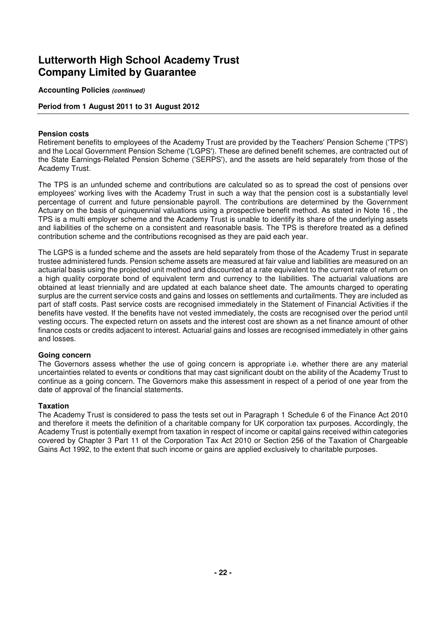**Accounting Policies (continued)**

## **Period from 1 August 2011 to 31 August 2012**

### **Pension costs**

Retirement benefits to employees of the Academy Trust are provided by the Teachers' Pension Scheme ('TPS') and the Local Government Pension Scheme ('LGPS'). These are defined benefit schemes, are contracted out of the State Earnings-Related Pension Scheme ('SERPS'), and the assets are held separately from those of the Academy Trust.

The TPS is an unfunded scheme and contributions are calculated so as to spread the cost of pensions over employees' working lives with the Academy Trust in such a way that the pension cost is a substantially level percentage of current and future pensionable payroll. The contributions are determined by the Government Actuary on the basis of quinquennial valuations using a prospective benefit method. As stated in Note 16 , the TPS is a multi employer scheme and the Academy Trust is unable to identify its share of the underlying assets and liabilities of the scheme on a consistent and reasonable basis. The TPS is therefore treated as a defined contribution scheme and the contributions recognised as they are paid each year.

The LGPS is a funded scheme and the assets are held separately from those of the Academy Trust in separate trustee administered funds. Pension scheme assets are measured at fair value and liabilities are measured on an actuarial basis using the projected unit method and discounted at a rate equivalent to the current rate of return on a high quality corporate bond of equivalent term and currency to the liabilities. The actuarial valuations are obtained at least triennially and are updated at each balance sheet date. The amounts charged to operating surplus are the current service costs and gains and losses on settlements and curtailments. They are included as part of staff costs. Past service costs are recognised immediately in the Statement of Financial Activities if the benefits have vested. If the benefits have not vested immediately, the costs are recognised over the period until vesting occurs. The expected return on assets and the interest cost are shown as a net finance amount of other finance costs or credits adjacent to interest. Actuarial gains and losses are recognised immediately in other gains and losses.

## **Going concern**

The Governors assess whether the use of going concern is appropriate i.e. whether there are any material uncertainties related to events or conditions that may cast significant doubt on the ability of the Academy Trust to continue as a going concern. The Governors make this assessment in respect of a period of one year from the date of approval of the financial statements.

## **Taxation**

The Academy Trust is considered to pass the tests set out in Paragraph 1 Schedule 6 of the Finance Act 2010 and therefore it meets the definition of a charitable company for UK corporation tax purposes. Accordingly, the Academy Trust is potentially exempt from taxation in respect of income or capital gains received within categories covered by Chapter 3 Part 11 of the Corporation Tax Act 2010 or Section 256 of the Taxation of Chargeable Gains Act 1992, to the extent that such income or gains are applied exclusively to charitable purposes.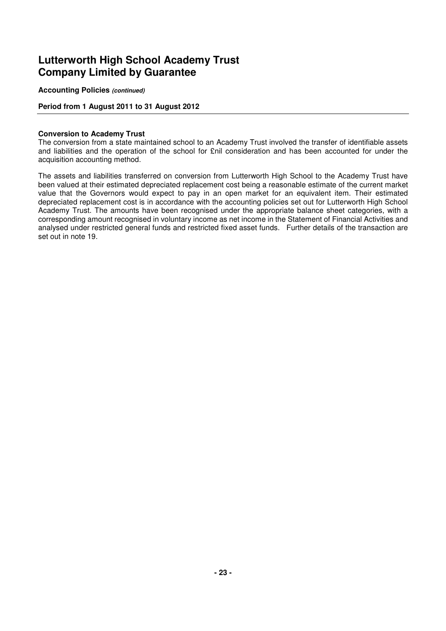**Accounting Policies (continued)**

## **Period from 1 August 2011 to 31 August 2012**

#### **Conversion to Academy Trust**

The conversion from a state maintained school to an Academy Trust involved the transfer of identifiable assets and liabilities and the operation of the school for £nil consideration and has been accounted for under the acquisition accounting method.

The assets and liabilities transferred on conversion from Lutterworth High School to the Academy Trust have been valued at their estimated depreciated replacement cost being a reasonable estimate of the current market value that the Governors would expect to pay in an open market for an equivalent item. Their estimated depreciated replacement cost is in accordance with the accounting policies set out for Lutterworth High School Academy Trust. The amounts have been recognised under the appropriate balance sheet categories, with a corresponding amount recognised in voluntary income as net income in the Statement of Financial Activities and analysed under restricted general funds and restricted fixed asset funds. Further details of the transaction are set out in note 19.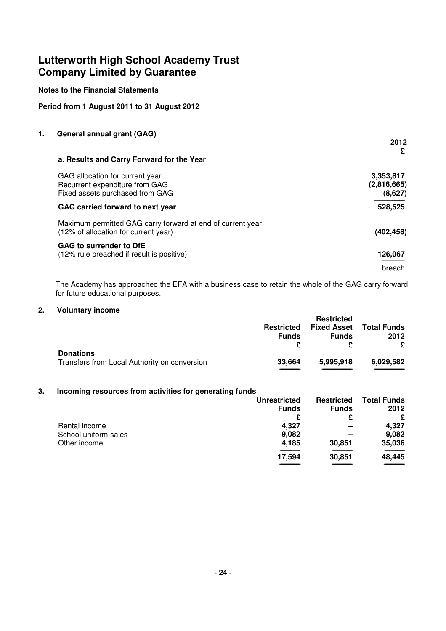## **Notes to the Financial Statements**

## **Period from 1 August 2011 to 31 August 2012**

### **1. General annual grant (GAG)**

|                                                                                                    | 2012                   |
|----------------------------------------------------------------------------------------------------|------------------------|
| a. Results and Carry Forward for the Year                                                          | £                      |
| GAG allocation for current year                                                                    | 3,353,817              |
| Recurrent expenditure from GAG<br>Fixed assets purchased from GAG                                  | (2,816,665)<br>(8,627) |
| GAG carried forward to next year                                                                   | 528,525                |
| Maximum permitted GAG carry forward at end of current year<br>(12% of allocation for current year) | (402,458)              |
| <b>GAG to surrender to DfE</b><br>(12% rule breached if result is positive)                        | 126,067                |
|                                                                                                    | breach                 |

The Academy has approached the EFA with a business case to retain the whole of the GAG carry forward for future educational purposes.

#### **2. Voluntary income**

|                                              |                   | <b>Restricted</b>  |                    |
|----------------------------------------------|-------------------|--------------------|--------------------|
|                                              | <b>Restricted</b> | <b>Fixed Asset</b> | <b>Total Funds</b> |
|                                              | <b>Funds</b>      | <b>Funds</b>       | 2012               |
|                                              |                   |                    | £                  |
| <b>Donations</b>                             |                   |                    |                    |
| Transfers from Local Authority on conversion | 33.664            | 5,995,918          | 6,029,582          |
|                                              |                   |                    |                    |

### **3. Incoming resources from activities for generating funds**

|                      | <b>Unrestricted</b> | <b>Restricted</b> | <b>Total Funds</b> |
|----------------------|---------------------|-------------------|--------------------|
|                      | <b>Funds</b>        | <b>Funds</b>      | 2012               |
|                      | £                   |                   | £                  |
| Rental income        | 4,327               | -                 | 4,327              |
| School uniform sales | 9,082               | -                 | 9,082              |
| Other income         | 4,185               | 30,851            | 35,036             |
|                      | 17,594              | 30,851            | 48,445             |
|                      |                     |                   |                    |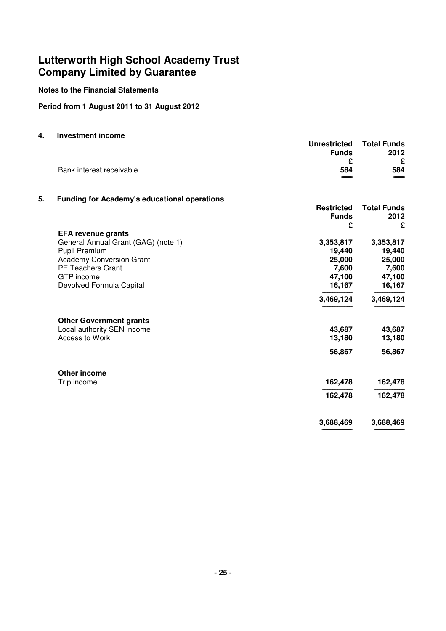## **Notes to the Financial Statements**

## **Period from 1 August 2011 to 31 August 2012**

### **4. Investment income**

|    |                                                     | <b>Unrestricted</b> | <b>Total Funds</b> |
|----|-----------------------------------------------------|---------------------|--------------------|
|    |                                                     | <b>Funds</b><br>£   | 2012<br>£          |
|    | Bank interest receivable                            | 584                 | 584                |
|    |                                                     |                     |                    |
| 5. | <b>Funding for Academy's educational operations</b> |                     |                    |
|    |                                                     | <b>Restricted</b>   | <b>Total Funds</b> |
|    |                                                     | <b>Funds</b>        | 2012               |
|    |                                                     | £                   | £                  |
|    | <b>EFA revenue grants</b>                           |                     |                    |
|    | General Annual Grant (GAG) (note 1)                 | 3,353,817           | 3,353,817          |
|    | Pupil Premium                                       | 19,440              | 19,440             |
|    | <b>Academy Conversion Grant</b>                     | 25,000              | 25,000             |
|    | <b>PE Teachers Grant</b>                            | 7,600               | 7,600              |
|    | GTP income                                          | 47,100              | 47,100             |
|    | Devolved Formula Capital                            | 16,167              | 16,167             |
|    |                                                     | 3,469,124           | 3,469,124          |
|    | <b>Other Government grants</b>                      |                     |                    |
|    | Local authority SEN income                          | 43,687              | 43,687             |
|    | Access to Work                                      | 13,180              | 13,180             |
|    |                                                     | 56,867              | 56,867             |
|    | <b>Other income</b>                                 |                     |                    |
|    | Trip income                                         | 162,478             | 162,478            |
|    |                                                     | 162,478             | 162,478            |
|    |                                                     | 3,688,469           | 3,688,469          |
|    |                                                     |                     |                    |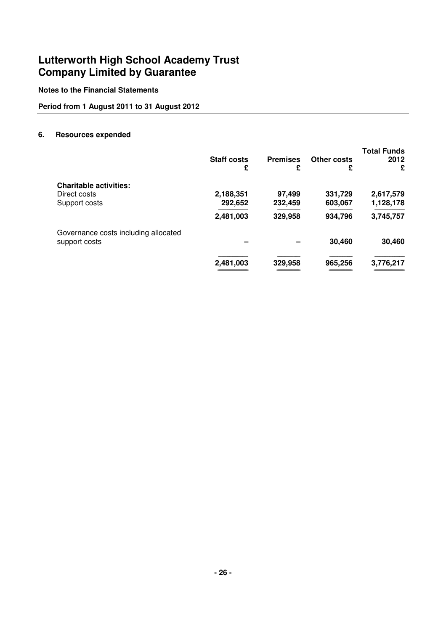## **Notes to the Financial Statements**

## **Period from 1 August 2011 to 31 August 2012**

### **6. Resources expended**

|                                      | <b>Staff costs</b><br>£ | <b>Premises</b><br>£ | Other costs<br>£ | <b>Total Funds</b><br>2012<br>£ |
|--------------------------------------|-------------------------|----------------------|------------------|---------------------------------|
| <b>Charitable activities:</b>        |                         |                      |                  |                                 |
| Direct costs                         | 2,188,351               | 97,499               | 331,729          | 2,617,579                       |
| Support costs                        | 292,652                 | 232,459              | 603,067          | 1,128,178                       |
|                                      | 2,481,003               | 329,958              | 934,796          | 3,745,757                       |
| Governance costs including allocated |                         |                      |                  |                                 |
| support costs                        |                         |                      | 30,460           | 30,460                          |
|                                      | 2,481,003               | 329,958              | 965,256          | 3,776,217                       |
|                                      |                         |                      |                  |                                 |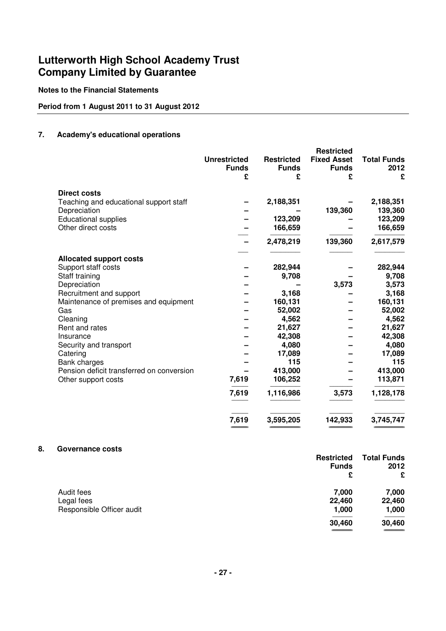## **Notes to the Financial Statements**

## **Period from 1 August 2011 to 31 August 2012**

## **7. Academy's educational operations**

|                                           | <b>Unrestricted</b><br><b>Funds</b> | <b>Restricted</b><br><b>Funds</b> | <b>Restricted</b><br><b>Fixed Asset</b><br><b>Funds</b> | <b>Total Funds</b><br>2012 |
|-------------------------------------------|-------------------------------------|-----------------------------------|---------------------------------------------------------|----------------------------|
|                                           | £                                   | £                                 | £                                                       | £                          |
| <b>Direct costs</b>                       |                                     |                                   |                                                         |                            |
| Teaching and educational support staff    |                                     | 2,188,351                         |                                                         | 2,188,351                  |
| Depreciation                              |                                     |                                   | 139,360                                                 | 139,360                    |
| <b>Educational supplies</b>               |                                     | 123,209                           |                                                         | 123,209                    |
| Other direct costs                        |                                     | 166,659                           |                                                         | 166,659                    |
|                                           |                                     | 2,478,219                         | 139,360                                                 | 2,617,579                  |
| <b>Allocated support costs</b>            |                                     |                                   |                                                         |                            |
| Support staff costs                       |                                     | 282,944                           |                                                         | 282,944                    |
| Staff training                            |                                     | 9,708                             |                                                         | 9,708                      |
| Depreciation                              |                                     |                                   | 3,573                                                   | 3,573                      |
| Recruitment and support                   |                                     | 3,168                             |                                                         | 3,168                      |
| Maintenance of premises and equipment     |                                     | 160,131                           |                                                         | 160,131                    |
| Gas                                       |                                     | 52,002                            |                                                         | 52,002                     |
| Cleaning                                  |                                     | 4,562                             |                                                         | 4,562                      |
| Rent and rates                            |                                     | 21,627                            |                                                         | 21,627                     |
| Insurance                                 |                                     | 42,308                            |                                                         | 42,308                     |
| Security and transport                    |                                     | 4,080                             |                                                         | 4,080                      |
| Catering                                  |                                     | 17,089                            |                                                         | 17,089                     |
| Bank charges                              |                                     | 115                               |                                                         | 115                        |
| Pension deficit transferred on conversion |                                     | 413,000                           |                                                         | 413,000                    |
| Other support costs                       | 7,619                               | 106,252                           |                                                         | 113,871                    |
|                                           | 7,619                               | 1,116,986                         | 3,573                                                   | 1,128,178                  |
|                                           | 7,619                               | 3,595,205                         | 142,933                                                 | 3,745,747                  |

## **8. Governance costs**

|                           | <b>Restricted</b><br><b>Funds</b> | <b>Total Funds</b><br>2012 |
|---------------------------|-----------------------------------|----------------------------|
|                           | £                                 | £                          |
| Audit fees                | 7,000                             | 7,000                      |
| Legal fees                | 22,460                            | 22,460                     |
| Responsible Officer audit | 1,000                             | 1,000                      |
|                           | 30,460                            | 30,460                     |
|                           |                                   | _______                    |

======================= ========================================== ================================ ==========================================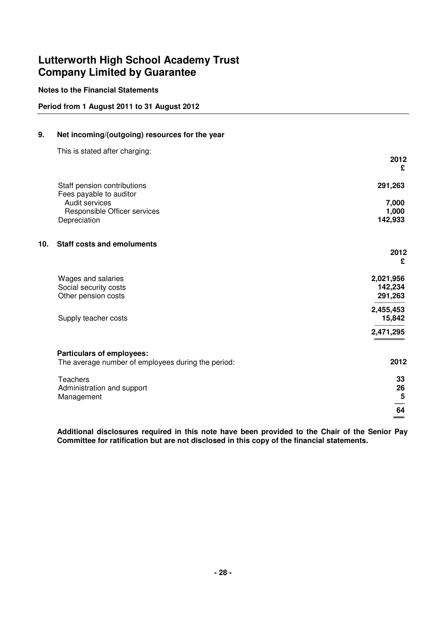## **Notes to the Financial Statements**

## **Period from 1 August 2011 to 31 August 2012**

## **9. Net incoming/(outgoing) resources for the year**

This is stated after charging:

|                                                    | 2012<br>£        |
|----------------------------------------------------|------------------|
| Staff pension contributions                        | 291,263          |
| Fees payable to auditor                            |                  |
| Audit services                                     | 7,000            |
| Responsible Officer services<br>Depreciation       | 1,000<br>142,933 |
|                                                    |                  |
| <b>Staff costs and emoluments</b><br>10.           |                  |
|                                                    | 2012             |
|                                                    | £                |
| Wages and salaries                                 | 2,021,956        |
| Social security costs                              | 142,234          |
| Other pension costs                                | 291,263          |
|                                                    | 2,455,453        |
| Supply teacher costs                               | 15,842           |
|                                                    | 2,471,295        |
| <b>Particulars of employees:</b>                   |                  |
| The average number of employees during the period: | 2012             |
| <b>Teachers</b>                                    | 33               |
| Administration and support                         | 26               |
| Management                                         | $5\phantom{.0}$  |
|                                                    | 64               |
|                                                    |                  |

**Additional disclosures required in this note have been provided to the Chair of the Senior Pay Committee for ratification but are not disclosed in this copy of the financial statements.**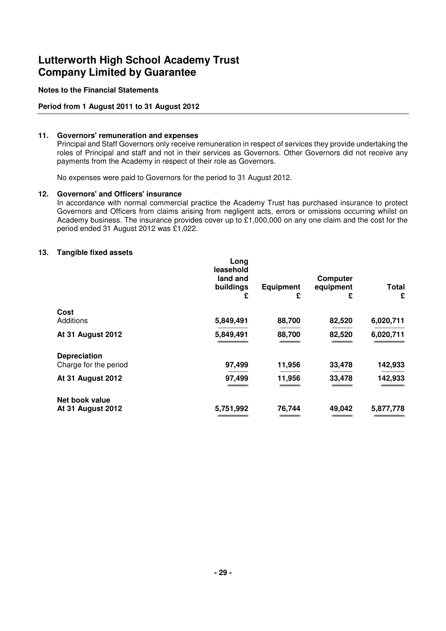### **Notes to the Financial Statements**

## **Period from 1 August 2011 to 31 August 2012**

### **11. Governors' remuneration and expenses**

 Principal and Staff Governors only receive remuneration in respect of services they provide undertaking the roles of Principal and staff and not in their services as Governors. Other Governors did not receive any payments from the Academy in respect of their role as Governors.

No expenses were paid to Governors for the period to 31 August 2012.

#### **12. Governors' and Officers' insurance**

 In accordance with normal commercial practice the Academy Trust has purchased insurance to protect Governors and Officers from claims arising from negligent acts, errors or omissions occurring whilst on Academy business. The insurance provides cover up to £1,000,000 on any one claim and the cost for the period ended 31 August 2012 was £1,022.

#### **13. Tangible fixed assets**

|                                              | Long<br>leasehold<br>land and<br>buildings<br>£ | <b>Equipment</b><br>£ | <b>Computer</b><br>equipment<br>£ | <b>Total</b><br>£ |
|----------------------------------------------|-------------------------------------------------|-----------------------|-----------------------------------|-------------------|
| Cost                                         |                                                 |                       |                                   |                   |
| Additions                                    | 5,849,491                                       | 88,700                | 82,520                            | 6,020,711         |
| <b>At 31 August 2012</b>                     | 5,849,491                                       | 88,700                | 82,520                            | 6,020,711         |
| <b>Depreciation</b><br>Charge for the period | 97,499                                          | 11,956                | 33,478                            | 142,933           |
|                                              |                                                 |                       |                                   |                   |
| <b>At 31 August 2012</b>                     | 97,499                                          | 11,956                | 33,478                            | 142,933           |
| Net book value                               |                                                 |                       |                                   |                   |
| <b>At 31 August 2012</b>                     | 5,751,992                                       | 76,744                | 49,042                            | 5,877,778         |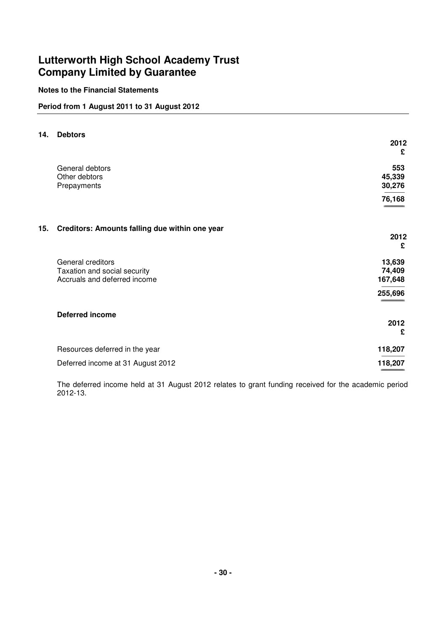## **Notes to the Financial Statements**

## **Period from 1 August 2011 to 31 August 2012**

|                                                | 2012<br>£                                                       |
|------------------------------------------------|-----------------------------------------------------------------|
| General debtors                                | 553<br>45,339                                                   |
| Prepayments                                    | 30,276                                                          |
|                                                | 76,168                                                          |
| Creditors: Amounts falling due within one year | 2012                                                            |
|                                                | £                                                               |
| General creditors                              | 13,639                                                          |
| Accruals and deferred income                   | 74,409<br>167,648                                               |
|                                                | 255,696                                                         |
| <b>Deferred income</b>                         |                                                                 |
|                                                | 2012<br>£                                                       |
| Resources deferred in the year                 | 118,207                                                         |
| Deferred income at 31 August 2012              | 118,207<br>_                                                    |
|                                                | <b>Debtors</b><br>Other debtors<br>Taxation and social security |

 The deferred income held at 31 August 2012 relates to grant funding received for the academic period 2012-13.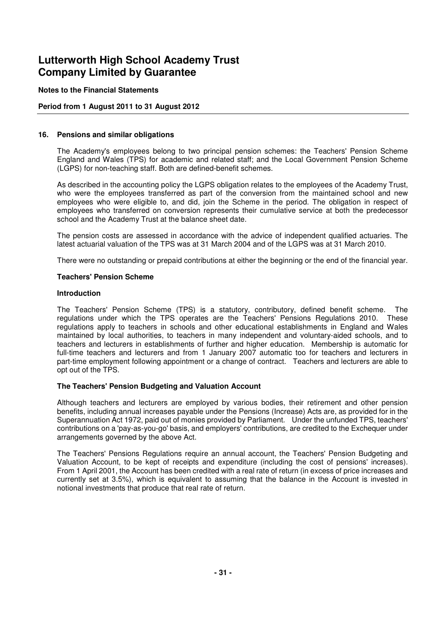### **Notes to the Financial Statements**

## **Period from 1 August 2011 to 31 August 2012**

#### **16. Pensions and similar obligations**

 The Academy's employees belong to two principal pension schemes: the Teachers' Pension Scheme England and Wales (TPS) for academic and related staff; and the Local Government Pension Scheme (LGPS) for non-teaching staff. Both are defined-benefit schemes.

 As described in the accounting policy the LGPS obligation relates to the employees of the Academy Trust, who were the employees transferred as part of the conversion from the maintained school and new employees who were eligible to, and did, join the Scheme in the period. The obligation in respect of employees who transferred on conversion represents their cumulative service at both the predecessor school and the Academy Trust at the balance sheet date.

 The pension costs are assessed in accordance with the advice of independent qualified actuaries. The latest actuarial valuation of the TPS was at 31 March 2004 and of the LGPS was at 31 March 2010.

There were no outstanding or prepaid contributions at either the beginning or the end of the financial year.

#### **Teachers' Pension Scheme**

#### **Introduction**

 The Teachers' Pension Scheme (TPS) is a statutory, contributory, defined benefit scheme. The regulations under which the TPS operates are the Teachers' Pensions Regulations 2010. These regulations apply to teachers in schools and other educational establishments in England and Wales maintained by local authorities, to teachers in many independent and voluntary-aided schools, and to teachers and lecturers in establishments of further and higher education. Membership is automatic for full-time teachers and lecturers and from 1 January 2007 automatic too for teachers and lecturers in part-time employment following appointment or a change of contract. Teachers and lecturers are able to opt out of the TPS.

## **The Teachers' Pension Budgeting and Valuation Account**

 Although teachers and lecturers are employed by various bodies, their retirement and other pension benefits, including annual increases payable under the Pensions (Increase) Acts are, as provided for in the Superannuation Act 1972, paid out of monies provided by Parliament. Under the unfunded TPS, teachers' contributions on a 'pay-as-you-go' basis, and employers' contributions, are credited to the Exchequer under arrangements governed by the above Act.

 The Teachers' Pensions Regulations require an annual account, the Teachers' Pension Budgeting and Valuation Account, to be kept of receipts and expenditure (including the cost of pensions' increases). From 1 April 2001, the Account has been credited with a real rate of return (in excess of price increases and currently set at 3.5%), which is equivalent to assuming that the balance in the Account is invested in notional investments that produce that real rate of return.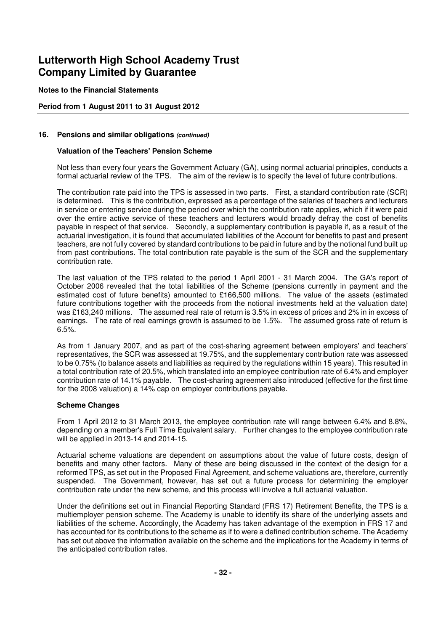#### **Notes to the Financial Statements**

## **Period from 1 August 2011 to 31 August 2012**

#### **16. Pensions and similar obligations (continued)**

#### **Valuation of the Teachers' Pension Scheme**

 Not less than every four years the Government Actuary (GA), using normal actuarial principles, conducts a formal actuarial review of the TPS. The aim of the review is to specify the level of future contributions.

 The contribution rate paid into the TPS is assessed in two parts. First, a standard contribution rate (SCR) is determined. This is the contribution, expressed as a percentage of the salaries of teachers and lecturers in service or entering service during the period over which the contribution rate applies, which if it were paid over the entire active service of these teachers and lecturers would broadly defray the cost of benefits payable in respect of that service. Secondly, a supplementary contribution is payable if, as a result of the actuarial investigation, it is found that accumulated liabilities of the Account for benefits to past and present teachers, are not fully covered by standard contributions to be paid in future and by the notional fund built up from past contributions. The total contribution rate payable is the sum of the SCR and the supplementary contribution rate.

 The last valuation of the TPS related to the period 1 April 2001 - 31 March 2004. The GA's report of October 2006 revealed that the total liabilities of the Scheme (pensions currently in payment and the estimated cost of future benefits) amounted to £166,500 millions. The value of the assets (estimated future contributions together with the proceeds from the notional investments held at the valuation date) was £163,240 millions. The assumed real rate of return is 3.5% in excess of prices and 2% in in excess of earnings. The rate of real earnings growth is assumed to be 1.5%. The assumed gross rate of return is 6.5%.

 As from 1 January 2007, and as part of the cost-sharing agreement between employers' and teachers' representatives, the SCR was assessed at 19.75%, and the supplementary contribution rate was assessed to be 0.75% (to balance assets and liabilities as required by the regulations within 15 years). This resulted in a total contribution rate of 20.5%, which translated into an employee contribution rate of 6.4% and employer contribution rate of 14.1% payable. The cost-sharing agreement also introduced (effective for the first time for the 2008 valuation) a 14% cap on employer contributions payable.

#### **Scheme Changes**

 From 1 April 2012 to 31 March 2013, the employee contribution rate will range between 6.4% and 8.8%, depending on a member's Full Time Equivalent salary. Further changes to the employee contribution rate will be applied in 2013-14 and 2014-15.

 Actuarial scheme valuations are dependent on assumptions about the value of future costs, design of benefits and many other factors. Many of these are being discussed in the context of the design for a reformed TPS, as set out in the Proposed Final Agreement, and scheme valuations are, therefore, currently suspended. The Government, however, has set out a future process for determining the employer contribution rate under the new scheme, and this process will involve a full actuarial valuation.

 Under the definitions set out in Financial Reporting Standard (FRS 17) Retirement Benefits, the TPS is a multiemployer pension scheme. The Academy is unable to identify its share of the underlying assets and liabilities of the scheme. Accordingly, the Academy has taken advantage of the exemption in FRS 17 and has accounted for its contributions to the scheme as if to were a defined contribution scheme. The Academy has set out above the information available on the scheme and the implications for the Academy in terms of the anticipated contribution rates.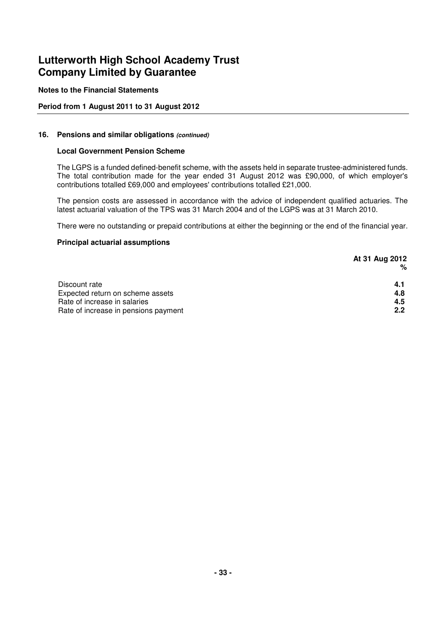## **Notes to the Financial Statements**

## **Period from 1 August 2011 to 31 August 2012**

### **16. Pensions and similar obligations (continued)**

### **Local Government Pension Scheme**

 The LGPS is a funded defined-benefit scheme, with the assets held in separate trustee-administered funds. The total contribution made for the year ended 31 August 2012 was £90,000, of which employer's contributions totalled £69,000 and employees' contributions totalled £21,000.

 The pension costs are assessed in accordance with the advice of independent qualified actuaries. The latest actuarial valuation of the TPS was 31 March 2004 and of the LGPS was at 31 March 2010.

There were no outstanding or prepaid contributions at either the beginning or the end of the financial year.

### **Principal actuarial assumptions**

|                                      | At 31 Aug 2012 |
|--------------------------------------|----------------|
|                                      | %              |
| Discount rate                        | 4.1            |
| Expected return on scheme assets     | 4.8            |
| Rate of increase in salaries         | 4.5            |
| Rate of increase in pensions payment | 2.2            |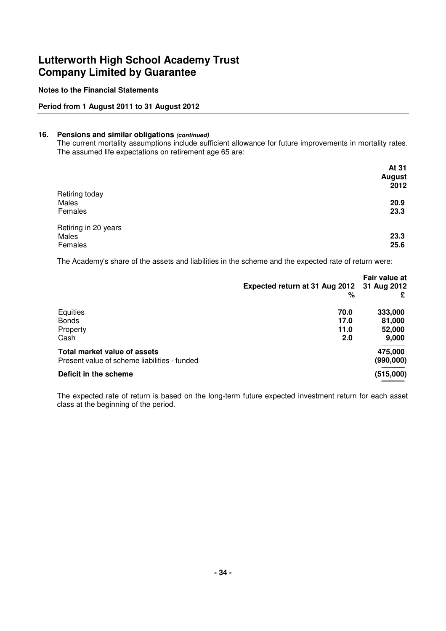## **Notes to the Financial Statements**

## **Period from 1 August 2011 to 31 August 2012**

#### **16. Pensions and similar obligations (continued)**

 The current mortality assumptions include sufficient allowance for future improvements in mortality rates. The assumed life expectations on retirement age 65 are:

|                      | At 31<br><b>August</b> |
|----------------------|------------------------|
| Retiring today       | 2012                   |
| Males                | 20.9                   |
| Females              | 23.3                   |
| Retiring in 20 years |                        |
| Males                | 23.3                   |
| Females              | 25.6                   |

The Academy's share of the assets and liabilities in the scheme and the expected rate of return were:

|                                              |                                            | Fair value at |
|----------------------------------------------|--------------------------------------------|---------------|
|                                              | Expected return at 31 Aug 2012 31 Aug 2012 |               |
|                                              | %                                          | £             |
| Equities                                     | 70.0                                       | 333,000       |
| <b>Bonds</b>                                 | 17.0                                       | 81,000        |
| Property                                     | 11.0                                       | 52,000        |
| Cash                                         | 2.0                                        | 9,000         |
| Total market value of assets                 |                                            | 475,000       |
| Present value of scheme liabilities - funded |                                            | (990,000)     |
| Deficit in the scheme                        |                                            | (515,000)     |
|                                              |                                            |               |

 The expected rate of return is based on the long-term future expected investment return for each asset class at the beginning of the period.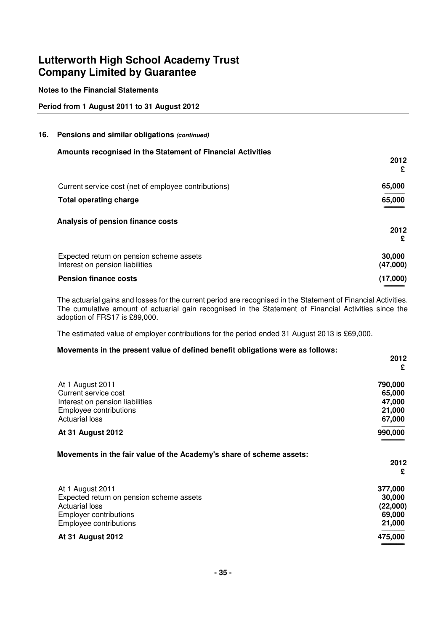## **Notes to the Financial Statements**

## **Period from 1 August 2011 to 31 August 2012**

#### **16. Pensions and similar obligations (continued)**

| Amounts recognised in the Statement of Financial Activities                 |                    |
|-----------------------------------------------------------------------------|--------------------|
|                                                                             | 2012<br>£          |
| Current service cost (net of employee contributions)                        | 65,000             |
| <b>Total operating charge</b>                                               | 65,000             |
| Analysis of pension finance costs                                           | 2012               |
|                                                                             | £                  |
| Expected return on pension scheme assets<br>Interest on pension liabilities | 30,000<br>(47,000) |
| <b>Pension finance costs</b>                                                | (17,000)           |

 The actuarial gains and losses for the current period are recognised in the Statement of Financial Activities. The cumulative amount of actuarial gain recognised in the Statement of Financial Activities since the adoption of FRS17 is £89,000.

The estimated value of employer contributions for the period ended 31 August 2013 is £69,000.

#### **Movements in the present value of defined benefit obligations were as follows:**

|                                                                                                                                                                                                                                                      | 2012                         |
|------------------------------------------------------------------------------------------------------------------------------------------------------------------------------------------------------------------------------------------------------|------------------------------|
|                                                                                                                                                                                                                                                      | £                            |
| At 1 August 2011                                                                                                                                                                                                                                     | 790,000                      |
| Current service cost                                                                                                                                                                                                                                 | 65,000                       |
| Interest on pension liabilities                                                                                                                                                                                                                      | 47,000                       |
| Employee contributions                                                                                                                                                                                                                               | 21,000                       |
| <b>Actuarial loss</b>                                                                                                                                                                                                                                | 67,000                       |
| <b>At 31 August 2012</b>                                                                                                                                                                                                                             | 990,000                      |
|                                                                                                                                                                                                                                                      | 2012                         |
|                                                                                                                                                                                                                                                      | £                            |
|                                                                                                                                                                                                                                                      | 377,000                      |
|                                                                                                                                                                                                                                                      |                              |
|                                                                                                                                                                                                                                                      |                              |
|                                                                                                                                                                                                                                                      | 30,000<br>(22,000)<br>69,000 |
|                                                                                                                                                                                                                                                      | 21,000                       |
| Movements in the fair value of the Academy's share of scheme assets:<br>At 1 August 2011<br>Expected return on pension scheme assets<br><b>Actuarial loss</b><br><b>Employer contributions</b><br>Employee contributions<br><b>At 31 August 2012</b> | 475,000                      |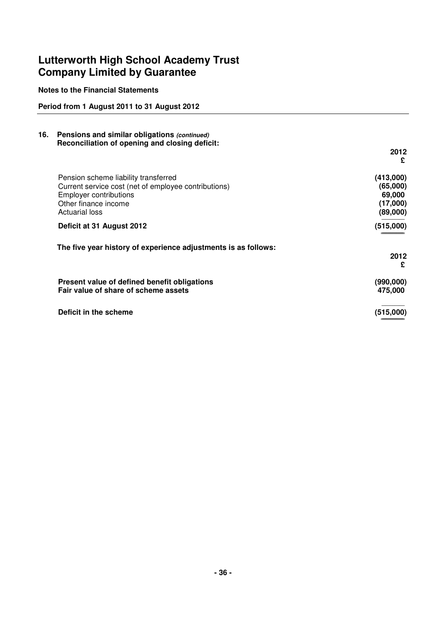**Notes to the Financial Statements**

## **Period from 1 August 2011 to 31 August 2012**

| 16. | Pensions and similar obligations (continued)<br>Reconciliation of opening and closing deficit:                                                                                 |                                                         |
|-----|--------------------------------------------------------------------------------------------------------------------------------------------------------------------------------|---------------------------------------------------------|
|     |                                                                                                                                                                                | 2012<br>£                                               |
|     | Pension scheme liability transferred<br>Current service cost (net of employee contributions)<br><b>Employer contributions</b><br>Other finance income<br><b>Actuarial loss</b> | (413,000)<br>(65,000)<br>69,000<br>(17,000)<br>(89,000) |
|     | Deficit at 31 August 2012                                                                                                                                                      | (515,000)                                               |
|     | The five year history of experience adjustments is as follows:                                                                                                                 | 2012<br>£                                               |
|     | Present value of defined benefit obligations<br>Fair value of share of scheme assets                                                                                           | (990,000)<br>475,000                                    |
|     | Deficit in the scheme                                                                                                                                                          | (515,000)                                               |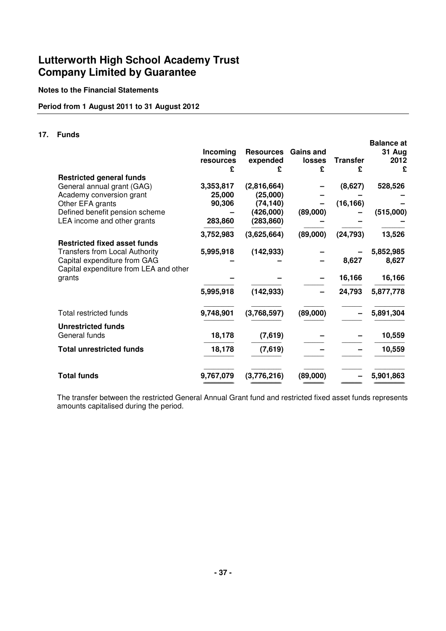## **Notes to the Financial Statements**

## **Period from 1 August 2011 to 31 August 2012**

## **17. Funds**

|                                                                        | Incoming<br>resources<br>£ | <b>Resources</b><br>expended<br>£ | <b>Gains and</b><br><b>losses</b><br>£ | <b>Transfer</b><br>£ | <b>Balance at</b><br>31 Aug<br>2012<br>£ |
|------------------------------------------------------------------------|----------------------------|-----------------------------------|----------------------------------------|----------------------|------------------------------------------|
| <b>Restricted general funds</b>                                        |                            |                                   |                                        |                      |                                          |
| General annual grant (GAG)<br>Academy conversion grant                 | 3,353,817<br>25,000        | (2,816,664)<br>(25,000)           |                                        | (8,627)              | 528,526                                  |
| Other EFA grants                                                       | 90,306                     | (74, 140)                         |                                        | (16, 166)            |                                          |
| Defined benefit pension scheme                                         |                            | (426,000)                         | (89,000)                               |                      | (515,000)                                |
| LEA income and other grants                                            | 283,860                    | (283, 860)                        |                                        |                      |                                          |
|                                                                        | 3,752,983                  | (3,625,664)                       | (89,000)                               | (24, 793)            | 13,526                                   |
| <b>Restricted fixed asset funds</b>                                    |                            |                                   |                                        |                      |                                          |
| <b>Transfers from Local Authority</b>                                  | 5,995,918                  | (142, 933)                        |                                        |                      | 5,852,985                                |
| Capital expenditure from GAG<br>Capital expenditure from LEA and other |                            |                                   |                                        | 8,627                | 8,627                                    |
| grants                                                                 |                            |                                   |                                        | 16,166               | 16,166                                   |
|                                                                        | 5,995,918                  | (142, 933)                        |                                        | 24,793               | 5,877,778                                |
| Total restricted funds                                                 | 9,748,901                  | (3,768,597)                       | (89,000)                               |                      | 5,891,304                                |
| <b>Unrestricted funds</b>                                              |                            |                                   |                                        |                      |                                          |
| General funds                                                          | 18,178                     | (7,619)                           |                                        |                      | 10,559                                   |
| <b>Total unrestricted funds</b>                                        | 18,178                     | (7,619)                           |                                        |                      | 10,559                                   |
| <b>Total funds</b>                                                     | 9,767,079                  | (3,776,216)                       | (89,000)                               |                      | 5,901,863                                |

 The transfer between the restricted General Annual Grant fund and restricted fixed asset funds represents amounts capitalised during the period.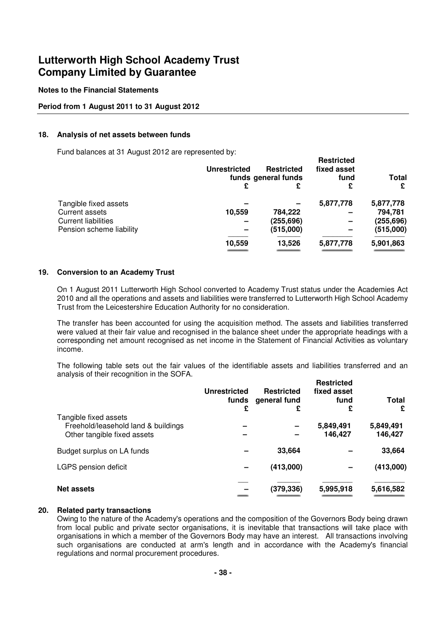#### **Notes to the Financial Statements**

#### **Period from 1 August 2011 to 31 August 2012**

#### **18. Analysis of net assets between funds**

Fund balances at 31 August 2012 are represented by:

|                            | Unrestricted | <b>Restricted</b><br>funds general funds |           | <b>Total</b> |
|----------------------------|--------------|------------------------------------------|-----------|--------------|
|                            | £            | £                                        | £         | £            |
| Tangible fixed assets      |              |                                          | 5,877,778 | 5,877,778    |
| Current assets             | 10,559       | 784,222                                  |           | 794,781      |
| <b>Current liabilities</b> |              | (255, 696)                               |           | (255, 696)   |
| Pension scheme liability   |              | (515,000)                                |           | (515,000)    |
|                            | 10,559       | 13,526                                   | 5,877,778 | 5,901,863    |
|                            |              |                                          |           |              |

#### **19. Conversion to an Academy Trust**

 On 1 August 2011 Lutterworth High School converted to Academy Trust status under the Academies Act 2010 and all the operations and assets and liabilities were transferred to Lutterworth High School Academy Trust from the Leicestershire Education Authority for no consideration.

 The transfer has been accounted for using the acquisition method. The assets and liabilities transferred were valued at their fair value and recognised in the balance sheet under the appropriate headings with a corresponding net amount recognised as net income in the Statement of Financial Activities as voluntary income.

 The following table sets out the fair values of the identifiable assets and liabilities transferred and an analysis of their recognition in the SOFA. **Restricted** 

|                                                              | Unrestricted<br>£ | <b>Restricted</b><br>funds general fund<br>£ | Restricted<br>fixed asset<br>fund<br>£ | Total<br>£        |
|--------------------------------------------------------------|-------------------|----------------------------------------------|----------------------------------------|-------------------|
| Tangible fixed assets<br>Freehold/leasehold land & buildings |                   |                                              | 5,849,491                              | 5,849,491         |
| Other tangible fixed assets<br>Budget surplus on LA funds    |                   | 33,664                                       | 146,427                                | 146,427<br>33,664 |
| LGPS pension deficit                                         |                   | (413,000)                                    |                                        | (413,000)         |
| <b>Net assets</b>                                            |                   | (379, 336)                                   | 5,995,918                              | 5,616,582         |

### **20. Related party transactions**

 Owing to the nature of the Academy's operations and the composition of the Governors Body being drawn from local public and private sector organisations, it is inevitable that transactions will take place with organisations in which a member of the Governors Body may have an interest. All transactions involving such organisations are conducted at arm's length and in accordance with the Academy's financial regulations and normal procurement procedures.